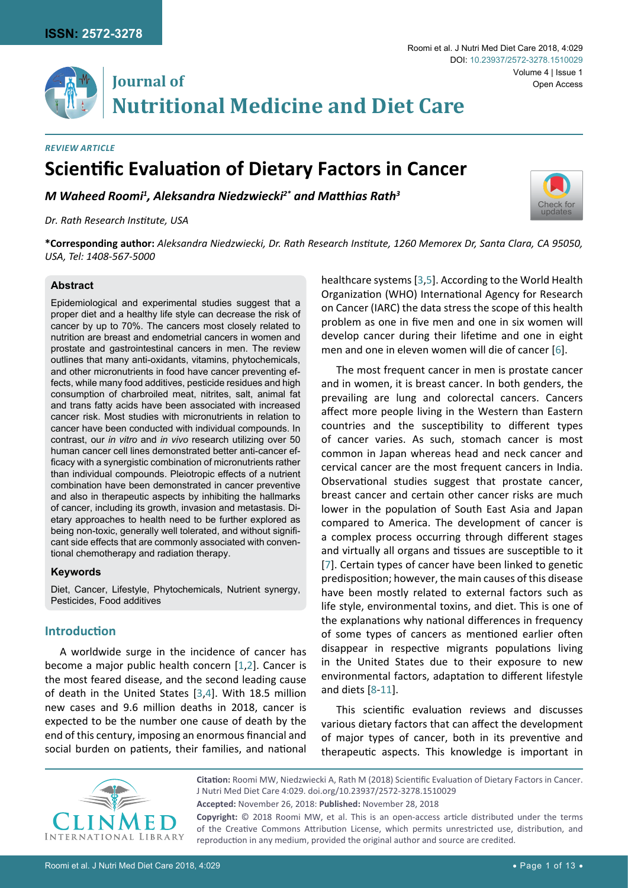

# **Journal of** Open Access **Nutritional Medicine and Diet Care**

# **Scientific Evaluation of Dietary Factors in Cancer** *Review Article*

*M Waheed Roomi1 , Aleksandra Niedzwiecki2\* and Matthias Rath<sup>3</sup>*

*Dr. Rath Research Institute, USA* 



**\*Corresponding author:** *Aleksandra Niedzwiecki, Dr. Rath Research Institute, 1260 Memorex Dr, Santa Clara, CA 95050, USA, Tel: 1408-567-5000*

## **Abstract**

Epidemiological and experimental studies suggest that a proper diet and a healthy life style can decrease the risk of cancer by up to 70%. The cancers most closely related to nutrition are breast and endometrial cancers in women and prostate and gastrointestinal cancers in men. The review outlines that many anti-oxidants, vitamins, phytochemicals, and other micronutrients in food have cancer preventing effects, while many food additives, pesticide residues and high consumption of charbroiled meat, nitrites, salt, animal fat and trans fatty acids have been associated with increased cancer risk. Most studies with micronutrients in relation to cancer have been conducted with individual compounds. In contrast, our *in vitro* and *in vivo* research utilizing over 50 human cancer cell lines demonstrated better anti-cancer efficacy with a synergistic combination of micronutrients rather than individual compounds. Pleiotropic effects of a nutrient combination have been demonstrated in cancer preventive and also in therapeutic aspects by inhibiting the hallmarks of cancer, including its growth, invasion and metastasis. Dietary approaches to health need to be further explored as being non-toxic, generally well tolerated, and without significant side effects that are commonly associated with conventional chemotherapy and radiation therapy.

## **Keywords**

Diet, Cancer, Lifestyle, Phytochemicals, Nutrient synergy, Pesticides, Food additives

# **Introduction**

A worldwide surge in the incidence of cancer has become a major public health concern [[1](#page-8-5)[,2](#page-8-6)]. Cancer is the most feared disease, and the second leading cause of death in the United States [[3](#page-8-0),[4](#page-8-7)]. With 18.5 million new cases and 9.6 million deaths in 2018, cancer is expected to be the number one cause of death by the end of this century, imposing an enormous financial and social burden on patients, their families, and national healthcare systems [[3](#page-8-0),[5\]](#page-8-1). According to the World Health Organization (WHO) International Agency for Research on Cancer (IARC) the data stress the scope of this health problem as one in five men and one in six women will develop cancer during their lifetime and one in eight men and one in eleven women will die of cancer [[6](#page-8-2)].

The most frequent cancer in men is prostate cancer and in women, it is breast cancer. In both genders, the prevailing are lung and colorectal cancers. Cancers affect more people living in the Western than Eastern countries and the susceptibility to different types of cancer varies. As such, stomach cancer is most common in Japan whereas head and neck cancer and cervical cancer are the most frequent cancers in India. Observational studies suggest that prostate cancer, breast cancer and certain other cancer risks are much lower in the population of South East Asia and Japan compared to America. The development of cancer is a complex process occurring through different stages and virtually all organs and tissues are susceptible to it [\[7\]](#page-8-3). Certain types of cancer have been linked to genetic predisposition; however, the main causes of this disease have been mostly related to external factors such as life style, environmental toxins, and diet. This is one of the explanations why national differences in frequency of some types of cancers as mentioned earlier often disappear in respective migrants populations living in the United States due to their exposure to new environmental factors, adaptation to different lifestyle and diets [[8](#page-8-4)-[11](#page-9-0)].

This scientific evaluation reviews and discusses various dietary factors that can affect the development of major types of cancer, both in its preventive and therapeutic aspects. This knowledge is important in



**Citation:** Roomi MW, Niedzwiecki A, Rath M (2018) Scientific Evaluation of Dietary Factors in Cancer. J Nutri Med Diet Care 4:029. [doi.org/10.23937/2572-3278.1510029](https://doi.org/10.23937/2572-3278.1510029) **Accepted:** November 26, 2018: **Published:** November 28, 2018 **Copyright:** © 2018 Roomi MW, et al. This is an open-access article distributed under the terms

of the Creative Commons Attribution License, which permits unrestricted use, distribution, and reproduction in any medium, provided the original author and source are credited.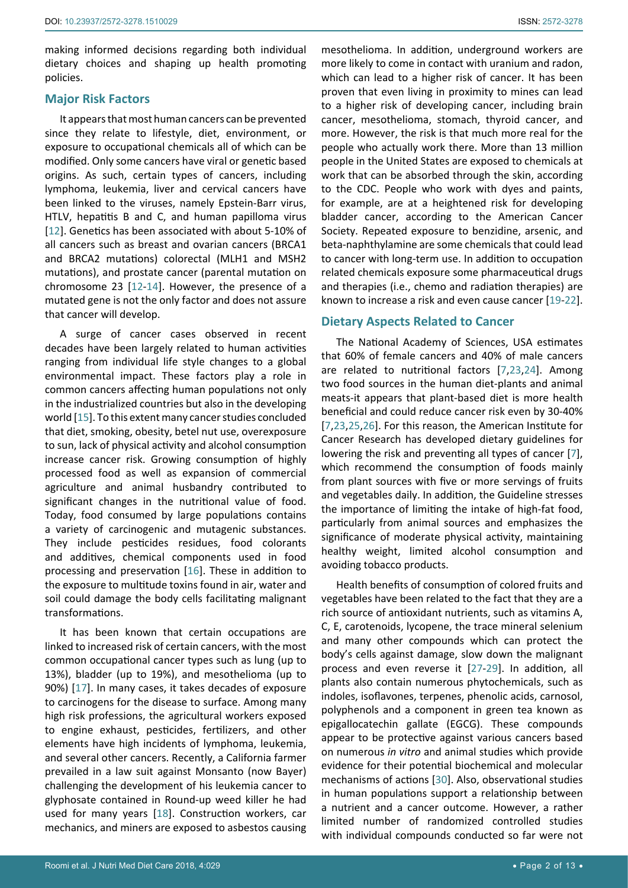making informed decisions regarding both individual dietary choices and shaping up health promoting policies.

## **Major Risk Factors**

It appears that most human cancers can be prevented since they relate to lifestyle, diet, environment, or exposure to occupational chemicals all of which can be modified. Only some cancers have viral or genetic based origins. As such, certain types of cancers, including lymphoma, leukemia, liver and cervical cancers have been linked to the viruses, namely Epstein-Barr virus, HTLV, hepatitis B and C, and human papilloma virus [[12](#page-9-10)]. Genetics has been associated with about 5-10% of all cancers such as breast and ovarian cancers (BRCA1 and BRCA2 mutations) colorectal (MLH1 and MSH2 mutations), and prostate cancer (parental mutation on chromosome 23 [[12](#page-9-10)[-14](#page-9-11)]. However, the presence of a mutated gene is not the only factor and does not assure that cancer will develop.

A surge of cancer cases observed in recent decades have been largely related to human activities ranging from individual life style changes to a global environmental impact. These factors play a role in common cancers affecting human populations not only in the industrialized countries but also in the developing world [\[15](#page-9-12)]. To this extent many cancer studies concluded that diet, smoking, obesity, betel nut use, overexposure to sun, lack of physical activity and alcohol consumption increase cancer risk. Growing consumption of highly processed food as well as expansion of commercial agriculture and animal husbandry contributed to significant changes in the nutritional value of food. Today, food consumed by large populations contains a variety of carcinogenic and mutagenic substances. They include pesticides residues, food colorants and additives, chemical components used in food processing and preservation [[16\]](#page-9-13). These in addition to the exposure to multitude toxins found in air, water and soil could damage the body cells facilitating malignant transformations.

It has been known that certain occupations are linked to increased risk of certain cancers, with the most common occupational cancer types such as lung (up to 13%), bladder (up to 19%), and mesothelioma (up to 90%) [\[17](#page-9-14)]. In many cases, it takes decades of exposure to carcinogens for the disease to surface. Among many high risk professions, the agricultural workers exposed to engine exhaust, pesticides, fertilizers, and other elements have high incidents of lymphoma, leukemia, and several other cancers. Recently, a California farmer prevailed in a law suit against Monsanto (now Bayer) challenging the development of his leukemia cancer to glyphosate contained in Round-up weed killer he had used for many years [[18](#page-9-15)]. Construction workers, car mechanics, and miners are exposed to asbestos causing

mesothelioma. In addition, [underground workers](http://www.cancer.org/acs/groups/content/@nho/documents/document/occupationandcancerpdf.pdf) are more likely to come in contact with uranium and radon, which can lead to a higher risk of cancer. It has been proven that even living in [proximity to mines](http://www.ncbi.nlm.nih.gov/pubmed/22846765) can lead to a higher risk of developing cancer, including brain cancer, mesothelioma, stomach, thyroid cancer, and more. However, the risk is that much more real for the people who actually work there. More than [13 million](https://www.cdc.gov/niosh/topics/skin/)  people in the United States are exposed to chemicals at work that can be absorbed through the skin, according to the CDC. People who work with dyes and paints, for example, are at a heightened risk for developing bladder cancer, according to the [American Cancer](https://www.cancer.org/content/dam/cancer-org/cancer-control/en/booklets-flyers/occupation-and-cancer-fact-sheet.pdf)  [Society.](https://www.cancer.org/content/dam/cancer-org/cancer-control/en/booklets-flyers/occupation-and-cancer-fact-sheet.pdf) Repeated exposure to benzidine, arsenic, and beta-naphthylamine are some chemicals that could lead to cancer with long-term use. In addition to occupation related chemicals exposure some pharmaceutical drugs and therapies (i.e., chemo and radiation therapies) are known to increase a risk and even cause cancer [[19](#page-9-1)-[22](#page-9-2)].

# **Dietary Aspects Related to Cancer**

The National Academy of Sciences, USA estimates that 60% of female cancers and 40% of male cancers are related to nutritional factors [[7](#page-8-3),[23](#page-9-3),[24](#page-9-4)]. Among two food sources in the human diet-plants and animal meats-it appears that plant-based diet is more health beneficial and could reduce cancer risk even by 30-40% [\[7](#page-8-3),[23](#page-9-3),[25](#page-9-5),[26](#page-9-6)]. For this reason, the American Institute for Cancer Research has developed dietary guidelines for lowering the risk and preventing all types of cancer [\[7](#page-8-3)], which recommend the consumption of foods mainly from plant sources with five or more servings of fruits and vegetables daily. In addition, the Guideline stresses the importance of limiting the intake of high-fat food, particularly from animal sources and emphasizes the significance of moderate physical activity, maintaining healthy weight, limited alcohol consumption and avoiding tobacco products.

Health benefits of consumption of colored fruits and vegetables have been related to the fact that they are a rich source of antioxidant nutrients, such as vitamins A, C, E, carotenoids, lycopene, the trace mineral selenium and many other compounds which can protect the body's cells against damage, slow down the malignant process and even reverse it [[27-](#page-9-7)[29](#page-9-8)]. In addition, all plants also contain numerous phytochemicals, such as indoles, isoflavones, terpenes, phenolic acids, carnosol, polyphenols and a component in green tea known as epigallocatechin gallate (EGCG). These compounds appear to be protective against various cancers based on numerous *in vitro* and animal studies which provide evidence for their potential biochemical and molecular mechanisms of actions [[30](#page-9-9)]. Also, observational studies in human populations support a relationship between a nutrient and a cancer outcome. However, a rather limited number of randomized controlled studies with individual compounds conducted so far were not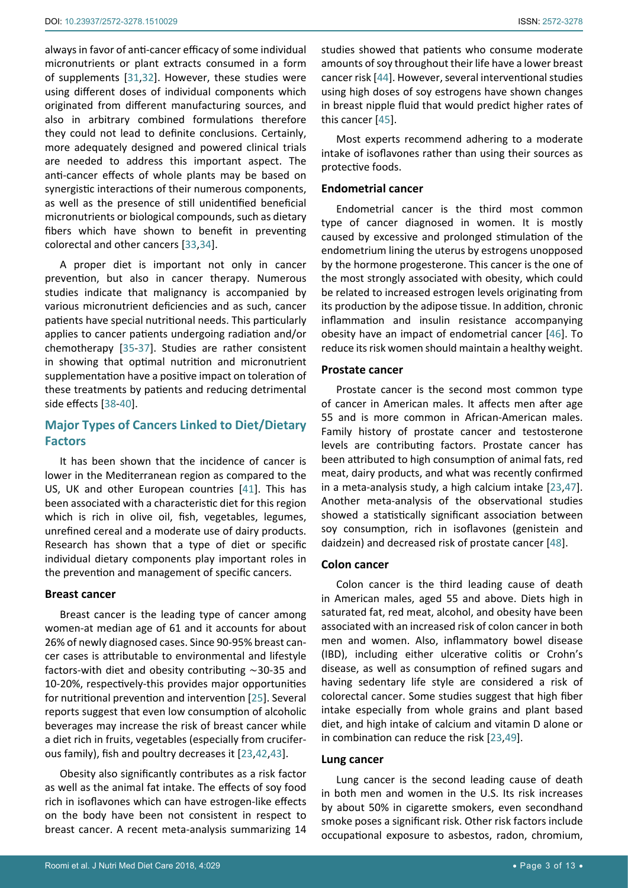always in favor of anti-cancer efficacy of some individual micronutrients or plant extracts consumed in a form of supplements [[31](#page-9-20),[32\]](#page-9-21). However, these studies were using different doses of individual components which originated from different manufacturing sources, and also in arbitrary combined formulations therefore they could not lead to definite conclusions. Certainly, more adequately designed and powered clinical trials are needed to address this important aspect. The anti-cancer effects of whole plants may be based on synergistic interactions of their numerous components, as well as the presence of still unidentified beneficial micronutrients or biological compounds, such as dietary fibers which have shown to benefit in preventing colorectal and other cancers [\[33](#page-9-22),[34](#page-9-23)].

A proper diet is important not only in cancer prevention, but also in cancer therapy. Numerous studies indicate that malignancy is accompanied by various micronutrient deficiencies and as such, cancer patients have special nutritional needs. This particularly applies to cancer patients undergoing radiation and/or chemotherapy [\[35-](#page-9-24)[37](#page-9-25)]. Studies are rather consistent in showing that optimal nutrition and micronutrient supplementation have a positive impact on toleration of these treatments by patients and reducing detrimental side effects [[38](#page-9-26)[-40\]](#page-9-27).

# **Major Types of Cancers Linked to Diet/Dietary Factors**

It has been shown that the incidence of cancer is lower in the Mediterranean region as compared to the US, UK and other European countries [[41](#page-9-28)]. This has been associated with a characteristic diet for this region which is rich in olive oil, fish, vegetables, legumes, unrefined cereal and a moderate use of dairy products. Research has shown that a type of diet or specific individual dietary components play important roles in the prevention and management of specific cancers.

## **Breast cancer**

Breast cancer is the leading type of cancer among women-at median age of 61 and it accounts for about 26% of newly diagnosed cases. Since 90-95% breast cancer cases is attributable to environmental and lifestyle factors-with diet and obesity contributing ∼30-35 and 10-20%, respectively-this provides major opportunities for nutritional prevention and intervention [\[25\]](#page-9-5). Several reports suggest that even low consumption of alcoholic beverages may increase the risk of breast cancer while a diet rich in fruits, vegetables (especially from cruciferous family), fish and poultry decreases it [[23](#page-9-3),[42](#page-9-29),[43\]](#page-9-30).

Obesity also significantly contributes as a risk factor as well as the animal fat intake. The effects of soy food rich in isoflavones which can have estrogen-like effects on the body have been not consistent in respect to breast cancer. A recent meta-analysis summarizing 14

studies showed that patients who consume moderate amounts of soy throughout their life have a lower breast cancer risk [[44\]](#page-9-16). However, several interventional studies using high doses of soy estrogens have shown changes in breast nipple fluid that would predict higher rates of this cancer [\[45](#page-9-17)].

Most experts recommend adhering to a moderate intake of isoflavones rather than using their sources as protective foods.

## **Endometrial cancer**

Endometrial cancer is the third most common type of cancer diagnosed in women. It is mostly caused by excessive and prolonged stimulation of the endometrium lining the uterus by estrogens unopposed by the hormone progesterone. This cancer is the one of the most strongly associated with obesity, which could be related to increased estrogen levels originating from its production by the adipose tissue. In addition, chronic inflammation and insulin resistance accompanying obesity have an impact of endometrial cancer [[46](#page-9-18)]. To reduce its risk women should maintain a healthy weight.

## **Prostate cancer**

Prostate cancer is the second most common type of cancer in American males. It affects men after age 55 and is more common in African-American males. Family history of prostate cancer and testosterone levels are contributing factors. Prostate cancer has been attributed to high consumption of animal fats, red meat, dairy products, and what was recently confirmed in a meta-analysis study, a high calcium intake [[23](#page-9-3),[47\]](#page-9-19). Another meta-analysis of the observational studies showed a statistically significant association between soy consumption, rich in isoflavones (genistein and daidzein) and decreased risk of prostate cancer [\[48\]](#page-10-0).

## **Colon cancer**

Colon cancer is the third leading cause of death in American males, aged 55 and above. Diets high in saturated fat, red meat, alcohol, and obesity have been associated with an increased risk of colon cancer in both men and women. Also, inflammatory bowel disease (IBD), including either ulcerative colitis or Crohn's disease, as well as consumption of refined sugars and having sedentary life style are considered a risk of colorectal cancer. Some studies suggest that high fiber intake especially from whole grains and plant based diet, and high intake of calcium and vitamin D alone or in combination can reduce the risk [[23](#page-9-3),[49\]](#page-10-1).

## **Lung cancer**

Lung cancer is the second leading cause of death in both men and women in the U.S. Its risk increases by about 50% in cigarette smokers, even secondhand smoke poses a significant risk. Other risk factors include occupational exposure to asbestos, radon, chromium,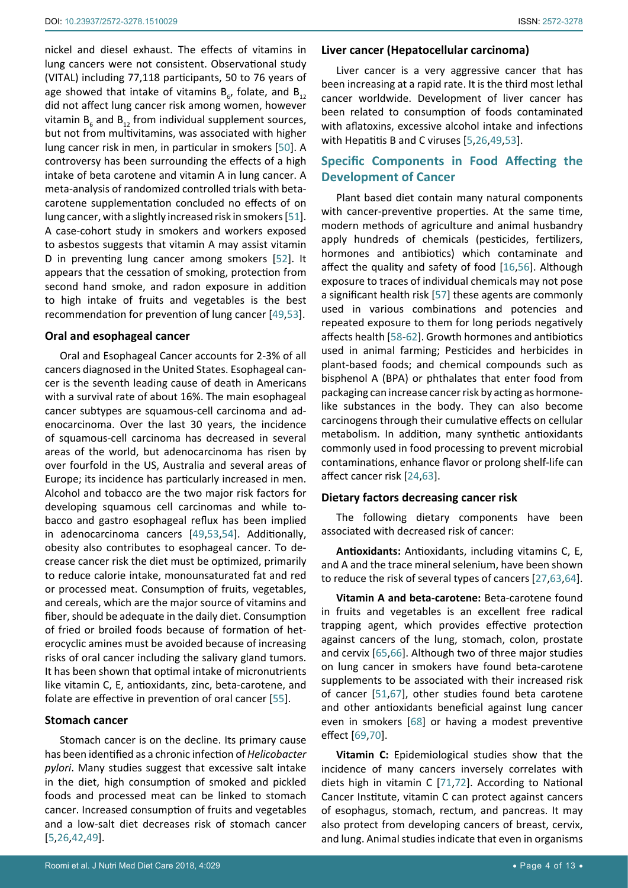nickel and diesel exhaust. The effects of vitamins in lung cancers were not consistent. Observational study (VITAL) including 77,118 participants, 50 to 76 years of age showed that intake of vitamins  $B_{6}$ , folate, and  $B_{12}$ did not affect lung cancer risk among women, however vitamin  $B_6$  and  $B_{12}$  from individual supplement sources, but not from multivitamins, was associated with higher lung cancer risk in men, in particular in smokers [\[50](#page-10-18)]. A controversy has been surrounding the effects of a high intake of beta carotene and vitamin A in lung cancer. A meta-analysis of randomized controlled trials with betacarotene supplementation concluded no effects of on lung cancer, with a slightly increased risk in smokers [\[51](#page-10-11)]. A case-cohort study in smokers and workers exposed to asbestos suggests that vitamin A may assist vitamin D in preventing lung cancer among smokers [[52\]](#page-10-19). It appears that the cessation of smoking, protection from second hand smoke, and radon exposure in addition to high intake of fruits and vegetables is the best recommendation for prevention of lung cancer [\[49](#page-10-1),[53](#page-10-2)].

#### **Oral and esophageal cancer**

Oral and Esophageal Cancer accounts for 2-3% of all cancers diagnosed in the United States. Esophageal cancer is the seventh leading cause of death in Americans with a survival rate of about 16%. The main esophageal cancer subtypes are squamous-cell carcinoma and adenocarcinoma. Over the last 30 years, the incidence of squamous-cell carcinoma has decreased in several areas of the world, but adenocarcinoma has risen by over fourfold in the US, Australia and several areas of Europe; its incidence has particularly increased in men. Alcohol and tobacco are the two major risk factors for developing squamous cell carcinomas and while tobacco and gastro esophageal reflux has been implied in adenocarcinoma cancers [[49](#page-10-1),[53](#page-10-2),[54\]](#page-10-20). Additionally, obesity also contributes to esophageal cancer. To decrease cancer risk the diet must be optimized, primarily to reduce calorie intake, monounsaturated fat and red or processed meat. Consumption of fruits, vegetables, and cereals, which are the major source of vitamins and fiber, should be adequate in the daily diet. Consumption of fried or broiled foods because of formation of heterocyclic amines must be avoided because of increasing risks of oral cancer including the salivary gland tumors. It has been shown that optimal intake of micronutrients like vitamin C, E, antioxidants, zinc, beta-carotene, and folate are effective in prevention of oral cancer [[55\]](#page-10-21).

#### **Stomach cancer**

Stomach cancer is on the decline. Its primary cause has been identified as a chronic infection of *Helicobacter pylori*. Many studies suggest that excessive salt intake in the diet, high consumption of smoked and pickled foods and processed meat can be linked to stomach cancer. Increased consumption of fruits and vegetables and a low-salt diet decreases risk of stomach cancer [[5](#page-8-1),[26](#page-9-6),[42](#page-9-29),[49](#page-10-1)].

#### **Liver cancer (Hepatocellular carcinoma)**

Liver cancer is a very aggressive cancer that has been increasing at a rapid rate. It is the third most lethal cancer worldwide. Development of liver cancer has been related to consumption of foods contaminated with aflatoxins, excessive alcohol intake and infections with Hepatitis B and C viruses [[5](#page-8-1),[26](#page-9-6),[49](#page-10-1),[53\]](#page-10-2).

## **Specific Components in Food Affecting the Development of Cancer**

Plant based diet contain many natural components with cancer-preventive properties. At the same time, modern methods of agriculture and animal husbandry apply hundreds of chemicals (pesticides, fertilizers, hormones and antibiotics) which contaminate and affect the quality and safety of food [\[16](#page-9-13),[56](#page-10-3)]. Although exposure to traces of individual chemicals may not pose a significant health risk [[57\]](#page-10-4) these agents are commonly used in various combinations and potencies and repeated exposure to them for long periods negatively affects health [\[58-](#page-10-5)[62](#page-10-6)]. Growth hormones and antibiotics used in animal farming; Pesticides and herbicides in plant-based foods; and chemical compounds such as bisphenol A (BPA) or phthalates that enter food from packaging can increase cancer risk by acting as hormonelike substances in the body. They can also become carcinogens through their cumulative effects on cellular metabolism. In addition, many synthetic antioxidants commonly used in food processing to prevent microbial contaminations, enhance flavor or prolong shelf-life can affect cancer risk [\[24](#page-9-4),[63](#page-10-7)].

#### **Dietary factors decreasing cancer risk**

The following dietary components have been associated with decreased risk of cancer:

**Antioxidants:** Antioxidants, including vitamins C, E, and A and the trace mineral selenium, have been shown to reduce the risk of several types of cancers [[27](#page-9-7),[63](#page-10-7),[64\]](#page-10-8).

**Vitamin A and beta-carotene:** Beta-carotene found in fruits and vegetables is an excellent free radical trapping agent, which provides effective protection against cancers of the lung, stomach, colon, prostate and cervix [\[65](#page-10-9),[66](#page-10-10)]. Although two of three major studies on lung cancer in smokers have found beta-carotene supplements to be associated with their increased risk of cancer [[51](#page-10-11),[67\]](#page-10-12), other studies found beta carotene and other antioxidants beneficial against lung cancer even in smokers [\[68](#page-10-13)] or having a modest preventive effect [\[69](#page-10-14),[70](#page-10-15)].

**Vitamin C:** Epidemiological studies show that the incidence of many cancers inversely correlates with diets high in vitamin C [\[71](#page-10-16),[72](#page-10-17)]. According to National Cancer Institute, vitamin C can protect against cancers of esophagus, stomach, rectum, and pancreas. It may also protect from developing cancers of breast, cervix, and lung. Animal studies indicate that even in organisms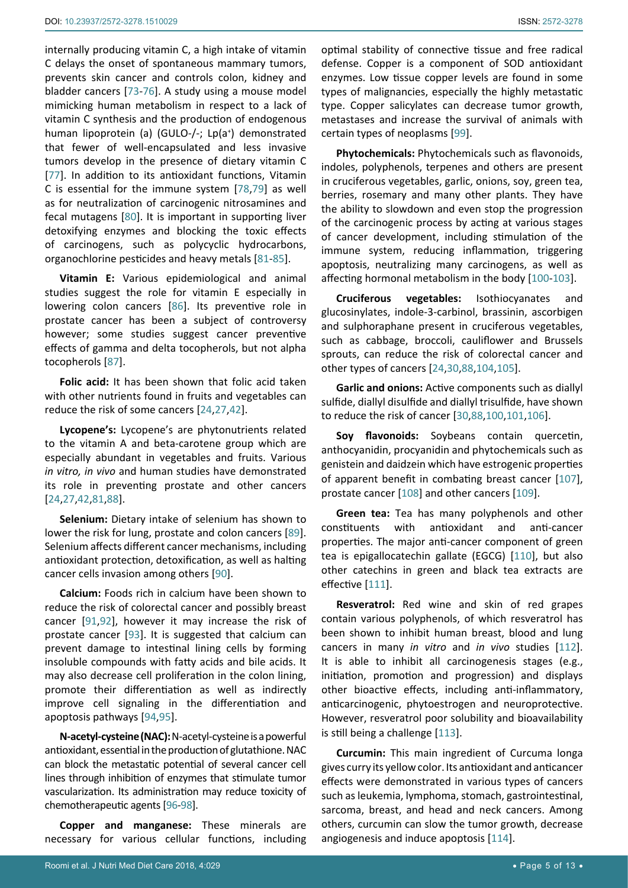internally producing vitamin C, a high intake of vitamin C delays the onset of spontaneous mammary tumors, prevents skin cancer and controls colon, kidney and bladder cancers [[73](#page-10-22)[-76\]](#page-10-23). A study using a mouse model mimicking human metabolism in respect to a lack of vitamin C synthesis and the production of endogenous human lipoprotein (a) (GULO-/-; Lp(a<sup>+</sup>) demonstrated that fewer of well-encapsulated and less invasive tumors develop in the presence of dietary vitamin C [[77](#page-10-24)]. In addition to its antioxidant functions, Vitamin C is essential for the immune system [\[78](#page-10-25),[79](#page-10-26)] as well as for neutralization of carcinogenic nitrosamines and fecal mutagens [[80](#page-10-27)]. It is important in supporting liver detoxifying enzymes and blocking the toxic effects of carcinogens, such as polycyclic hydrocarbons, organochlorine pesticides and heavy metals [[81](#page-10-28)-[85\]](#page-11-16).

**Vitamin E:** Various epidemiological and animal studies suggest the role for vitamin E especially in lowering colon cancers [[86\]](#page-11-17). Its preventive role in prostate cancer has been a subject of controversy however; some studies suggest cancer preventive effects of gamma and delta tocopherols, but not alpha tocopherols [[87\]](#page-11-18).

**Folic acid:** It has been shown that folic acid taken with other nutrients found in fruits and vegetables can reduce the risk of some cancers [[24](#page-9-4),[27](#page-9-7),[42\]](#page-9-29).

**Lycopene's:** Lycopene's are phytonutrients related to the vitamin A and beta-carotene group which are especially abundant in vegetables and fruits. Various *in vitro, in vivo* and human studies have demonstrated its role in preventing prostate and other cancers [[24](#page-9-4),[27](#page-9-7),[42](#page-9-29),[81](#page-10-28)[,88](#page-11-3)].

**Selenium:** Dietary intake of selenium has shown to lower the risk for lung, prostate and colon cancers [\[89](#page-11-19)]. Selenium affects different cancer mechanisms, including antioxidant protection, detoxification, as well as halting cancer cells invasion among others [\[90](#page-11-20)].

**Calcium:** Foods rich in calcium have been shown to reduce the risk of colorectal cancer and possibly breast cancer [[91](#page-11-21),[92\]](#page-11-22), however it may increase the risk of prostate cancer [[93\]](#page-11-23). It is suggested that calcium can prevent damage to intestinal lining cells by forming insoluble compounds with fatty acids and bile acids. It may also decrease cell proliferation in the colon lining, promote their differentiation as well as indirectly improve cell signaling in the differentiation and apoptosis pathways [[94](#page-11-24),[95](#page-11-25)].

**N-acetyl-cysteine (NAC):** N-acetyl-cysteine is a powerful antioxidant, essential in the production of glutathione. NAC can block the metastatic potential of several cancer cell lines through inhibition of enzymes that stimulate tumor vascularization. Its administration may reduce toxicity of chemotherapeutic agents [[96](#page-11-26)[-98](#page-11-27)].

**Copper and manganese:** These minerals are necessary for various cellular functions, including

optimal stability of connective tissue and free radical defense. Copper is a component of SOD antioxidant enzymes. Low tissue copper levels are found in some types of malignancies, especially the highly metastatic type. Copper salicylates can decrease tumor growth, metastases and increase the survival of animals with certain types of neoplasms [[99\]](#page-11-0).

**Phytochemicals:** Phytochemicals such as flavonoids, indoles, polyphenols, terpenes and others are present in cruciferous vegetables, garlic, onions, soy, green tea, berries, rosemary and many other plants. They have the ability to slowdown and even stop the progression of the carcinogenic process by acting at various stages of cancer development, including stimulation of the immune system, reducing inflammation, triggering apoptosis, neutralizing many carcinogens, as well as affecting hormonal metabolism in the body [[100](#page-11-1)[-103\]](#page-11-2).

**Cruciferous vegetables:** Isothiocyanates glucosinylates, indole-3-carbinol, brassinin, ascorbigen and sulphoraphane present in cruciferous vegetables, such as cabbage, broccoli, cauliflower and Brussels sprouts, can reduce the risk of colorectal cancer and other types of cancers [[24](#page-9-4),[30](#page-9-9),[88,](#page-11-3)[104](#page-11-4),[105\]](#page-11-5).

**Garlic and onions:** Active components such as diallyl sulfide, diallyl disulfide and diallyl trisulfide, have shown to reduce the risk of cancer [[30](#page-9-9),[88,](#page-11-3)[100](#page-11-1)[,101,](#page-11-6)[106](#page-11-7)].

**Soy flavonoids:** Soybeans contain quercetin, anthocyanidin, procyanidin and phytochemicals such as genistein and daidzein which have estrogenic properties of apparent benefit in combating breast cancer [[107](#page-11-8)], prostate cancer [[108](#page-11-9)] and other cancers [\[109](#page-11-10)].

**Green tea:** Tea has many polyphenols and other constituents with antioxidant and anti-cancer properties. The major anti-cancer component of green tea is epigallocatechin gallate (EGCG) [[110](#page-11-11)], but also other catechins in green and black tea extracts are effective [[111](#page-11-12)].

**Resveratrol:** Red wine and skin of red grapes contain various polyphenols, of which resveratrol has been shown to inhibit human breast, blood and lung cancers in many *in vitro* and *in vivo* studies [[112](#page-11-13)]. It is able to inhibit all carcinogenesis stages (e.g., initiation, promotion and progression) and displays other bioactive effects, including anti-inflammatory, anticarcinogenic, phytoestrogen and neuroprotective. However, resveratrol poor solubility and bioavailability is still being a challenge [\[113](#page-11-14)].

**Curcumin:** This main ingredient of Curcuma longa gives curry its yellow color. Its antioxidant and anticancer effects were demonstrated in various types of cancers such as leukemia, lymphoma, stomach, gastrointestinal, sarcoma, breast, and head and neck cancers. Among others, curcumin can slow the tumor growth, decrease angiogenesis and induce apoptosis [[114](#page-11-15)].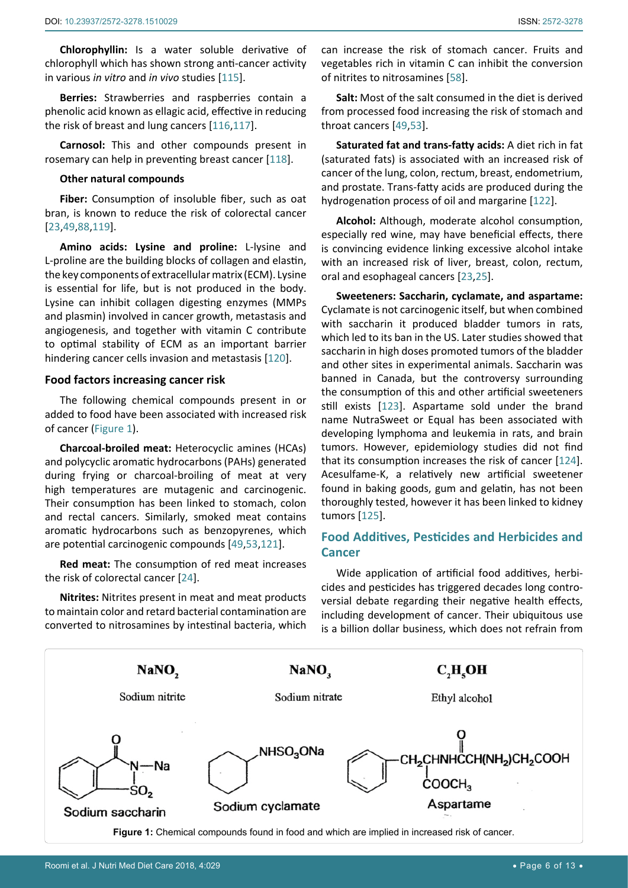**Chlorophyllin:** Is a water soluble derivative of chlorophyll which has shown strong anti-cancer activity in various *in vitro* and *in vivo* studies [\[115\]](#page-11-28).

**Berries:** Strawberries and raspberries contain a phenolic acid known as ellagic acid, effective in reducing the risk of breast and lung cancers [\[116](#page-11-29),[117\]](#page-11-30).

**Carnosol:** This and other compounds present in rosemary can help in preventing breast cancer [[118](#page-12-4)].

#### **Other natural compounds**

**Fiber:** Consumption of insoluble fiber, such as oat bran, is known to reduce the risk of colorectal cancer [[23](#page-9-3),[49](#page-10-1),[88,](#page-11-3)[119](#page-12-5)].

**Amino acids: Lysine and proline:** L-lysine and L-proline are the building blocks of collagen and elastin, the key components of extracellular matrix (ECM). Lysine is essential for life, but is not produced in the body. Lysine can inhibit collagen digesting enzymes (MMPs and plasmin) involved in cancer growth, metastasis and angiogenesis, and together with vitamin C contribute to optimal stability of ECM as an important barrier hindering cancer cells invasion and metastasis [[120](#page-12-6)].

#### **Food factors increasing cancer risk**

The following chemical compounds present in or added to food have been associated with increased risk of cancer ([Figure 1\)](#page-5-0).

**Charcoal-broiled meat:** Heterocyclic amines (HCAs) and polycyclic aromatic hydrocarbons (PAHs) generated during frying or charcoal-broiling of meat at very high temperatures are mutagenic and carcinogenic. Their consumption has been linked to stomach, colon and rectal cancers. Similarly, smoked meat contains aromatic hydrocarbons such as benzopyrenes, which are potential carcinogenic compounds [\[49](#page-10-1),[53](#page-10-2)[,121](#page-12-7)].

**Red meat:** The consumption of red meat increases the risk of colorectal cancer [[24](#page-9-4)].

**Nitrites:** Nitrites present in meat and meat products to maintain color and retard bacterial contamination are converted to nitrosamines by intestinal bacteria, which can increase the risk of stomach cancer. Fruits and vegetables rich in vitamin C can inhibit the conversion of nitrites to nitrosamines [[58\]](#page-10-5).

**Salt:** Most of the salt consumed in the diet is derived from processed food increasing the risk of stomach and throat cancers [\[49](#page-10-1),[53](#page-10-2)].

**Saturated fat and trans-fatty acids:** A diet rich in fat (saturated fats) is associated with an increased risk of cancer of the lung, colon, rectum, breast, endometrium, and prostate. Trans-fatty acids are produced during the hydrogenation process of oil and margarine [[122](#page-12-0)].

**Alcohol:** Although, moderate alcohol consumption, especially red wine, may have beneficial effects, there is convincing evidence linking excessive alcohol intake with an increased risk of liver, breast, colon, rectum, oral and esophageal cancers [\[23](#page-9-3),[25](#page-9-5)].

**Sweeteners: Saccharin, cyclamate, and aspartame:**  Cyclamate is not carcinogenic itself, but when combined with saccharin it produced bladder tumors in rats, which led to its ban in the US. Later studies showed that saccharin in high doses promoted tumors of the bladder and other sites in experimental animals. Saccharin was banned in Canada, but the controversy surrounding the consumption of this and other artificial sweeteners still exists [[123\]](#page-12-1). Aspartame sold under the brand name NutraSweet or Equal has been associated with developing lymphoma and leukemia in rats, and brain tumors. However, epidemiology studies did not find that its consumption increases the risk of cancer [[124\]](#page-12-2). Acesulfame-K, a relatively new artificial sweetener found in baking goods, gum and gelatin, has not been thoroughly tested, however it has been linked to kidney tumors [[125](#page-12-3)].

# **Food Additives, Pesticides and Herbicides and Cancer**

Wide application of artificial food additives, herbicides and pesticides has triggered decades long controversial debate regarding their negative health effects, including development of cancer. Their ubiquitous use is a billion dollar business, which does not refrain from

<span id="page-5-0"></span>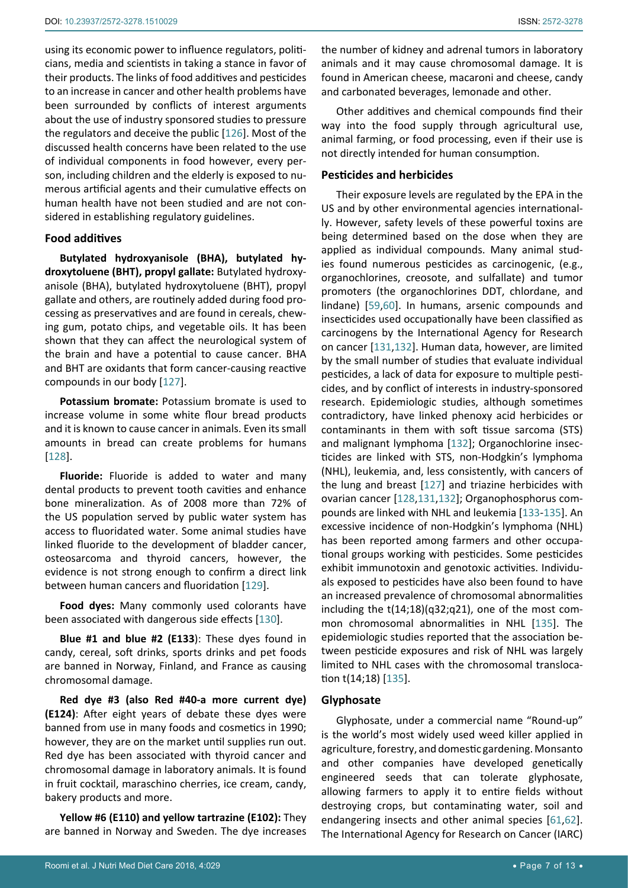using its economic power to influence regulators, politicians, media and scientists in taking a stance in favor of their products. The links of food additives and pesticides to an increase in cancer and other health problems have been surrounded by conflicts of interest arguments about the use of industry sponsored studies to pressure the regulators and deceive the public [\[126](#page-12-14)]. Most of the discussed health concerns have been related to the use of individual components in food however, every person, including children and the elderly is exposed to numerous artificial agents and their cumulative effects on human health have not been studied and are not considered in establishing regulatory guidelines.

## **Food additives**

**Butylated hydroxyanisole (BHA), butylated hydroxytoluene (BHT), propyl gallate:** Butylated hydroxyanisole (BHA), butylated hydroxytoluene (BHT), propyl gallate and others, are routinely added during food processing as preservatives and are found in cereals, chewing gum, potato chips, and vegetable oils. It has been shown that they can affect the neurological system of the brain and have a potential to cause cancer. BHA and BHT are oxidants that form cancer-causing reactive compounds in our body [\[127](#page-12-10)].

**Potassium bromate:** Potassium bromate is used to increase volume in some white flour bread products and it is known to cause cancer in animals. Even its small amounts in bread can create problems for humans [[128](#page-12-11)].

**Fluoride:** Fluoride is added to water and many dental products to prevent tooth cavities and enhance bone mineralization. As of 2008 more than 72% of the US population served by public water system has access to fluoridated water. Some animal studies have linked fluoride to the development of bladder cancer, osteosarcoma and thyroid cancers, however, the evidence is not strong enough to confirm a direct link between human cancers and fluoridation [[129](#page-12-15)].

**Food dyes:** Many commonly used colorants have been associated with dangerous side effects [[130](#page-12-16)].

**Blue #1 and blue #2 (E133**): These dyes found in candy, cereal, soft drinks, sports drinks and pet foods are banned in Norway, Finland, and France as causing chromosomal damage.

**Red dye #3 (also Red #40-a more current dye) (E124)**: After eight years of debate these dyes were banned from use in many foods and cosmetics in 1990; however, they are on the market until supplies run out. Red dye has been associated with thyroid cancer and chromosomal damage in laboratory animals. It is found in fruit cocktail, maraschino cherries, ice cream, candy, bakery products and more.

**Yellow #6 (E110) and yellow tartrazine (E102):** They are banned in Norway and Sweden. The dye increases the number of kidney and adrenal tumors in laboratory animals and it may cause chromosomal damage. It is found in American cheese, macaroni and cheese, candy and carbonated beverages, lemonade and other.

Other additives and chemical compounds find their way into the food supply through agricultural use, animal farming, or food processing, even if their use is not directly intended for human consumption.

## **Pesticides and herbicides**

Their exposure levels are regulated by the EPA in the US and by other environmental agencies internationally. However, safety levels of these powerful toxins are being determined based on the dose when they are applied as individual compounds. Many animal studies found numerous pesticides as carcinogenic, (e.g., organochlorines, creosote, and sulfallate) and tumor promoters (the organochlorines DDT, chlordane, and lindane) [\[59](#page-10-29),[60](#page-10-30)]. In humans, arsenic compounds and insecticides used occupationally have been classified as carcinogens by the International Agency for Research on cancer [\[131](#page-12-8),[132\]](#page-12-9). Human data, however, are limited by the small number of studies that evaluate individual pesticides, a lack of data for exposure to multiple pesticides, and by conflict of interests in industry-sponsored research. Epidemiologic studies, although sometimes contradictory, have linked phenoxy acid herbicides or contaminants in them with soft tissue sarcoma (STS) and malignant lymphoma [\[132](#page-12-9)]; Organochlorine insecticides are linked with STS, non-Hodgkin's lymphoma (NHL), leukemia, and, less consistently, with cancers of the lung and breast [[127\]](#page-12-10) and triazine herbicides with ovarian cancer [[128](#page-12-11),[131](#page-12-8),[132](#page-12-9)]; Organophosphorus compounds are linked with NHL and leukemia [\[133](#page-12-12)[-135](#page-12-13)]. An excessive incidence of non-Hodgkin's lymphoma (NHL) has been reported among farmers and other occupational groups working with pesticides. Some pesticides exhibit immunotoxin and genotoxic activities. Individuals exposed to pesticides have also been found to have an increased prevalence of chromosomal abnormalities including the t(14;18)(q32;q21), one of the most common chromosomal abnormalities in NHL [\[135](#page-12-13)]. The epidemiologic studies reported that the association between pesticide exposures and risk of NHL was largely limited to NHL cases with the chromosomal translocation t(14;18) [\[135](#page-12-13)].

## **Glyphosate**

Glyphosate, under a commercial name "Round-up" is the world's most widely used weed killer applied in agriculture, forestry, and domestic gardening. Monsanto and other companies have developed genetically engineered seeds that can tolerate glyphosate, allowing farmers to apply it to entire fields without destroying crops, but contaminating water, soil and endangering insects and other animal species [[61](#page-10-31),[62\]](#page-10-6). The International Agency for Research on Cancer (IARC)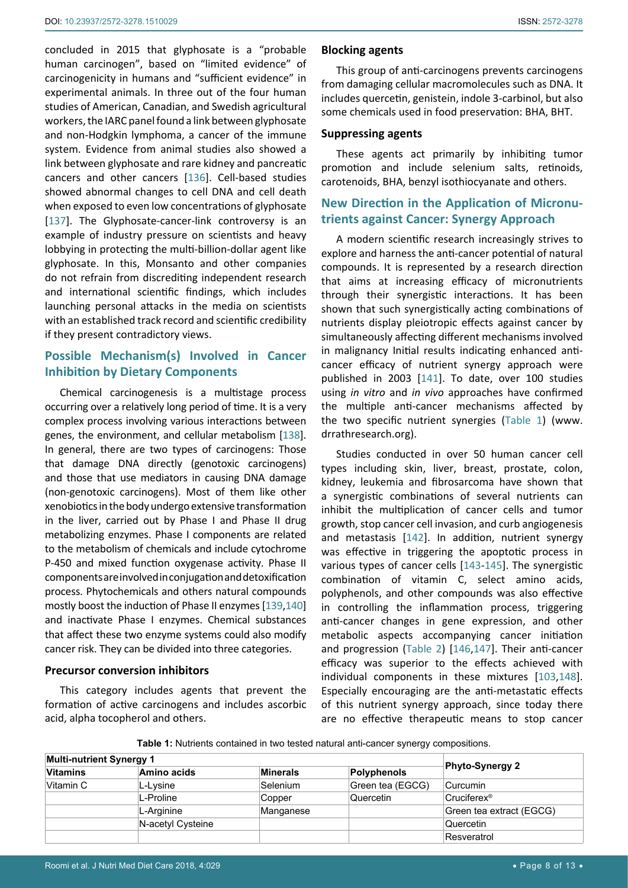concluded in 2015 that glyphosate is a "probable human carcinogen", based on "limited evidence" of carcinogenicity in humans and "sufficient evidence" in experimental animals. In three out of the four human studies of American, Canadian, and Swedish agricultural workers, the IARC panel found a link between glyphosate and non-Hodgkin lymphoma, a cancer of the immune system. Evidence from animal studies also showed a link between glyphosate and rare kidney and pancreatic cancers and other cancers [\[136\]](#page-12-24). Cell-based studies showed abnormal changes to cell DNA and cell death when exposed to even low concentrations of glyphosate [[137\]](#page-12-25). The Glyphosate-cancer-link controversy is an example of industry pressure on scientists and heavy lobbying in protecting the multi-billion-dollar agent like glyphosate. In this, Monsanto and other companies do not refrain from discrediting independent research and international scientific findings, which includes launching personal attacks in the media on scientists with an established track record and scientific credibility if they present contradictory views.

# **Possible Mechanism(s) Involved in Cancer Inhibition by Dietary Components**

Chemical carcinogenesis is a multistage process occurring over a relatively long period of time. It is a very complex process involving various interactions between genes, the environment, and cellular metabolism [\[138\]](#page-12-26). In general, there are two types of carcinogens: Those that damage DNA directly (genotoxic carcinogens) and those that use mediators in causing DNA damage (non-genotoxic carcinogens). Most of them like other xenobiotics in the body undergo extensive transformation in the liver, carried out by Phase I and Phase II drug metabolizing enzymes. Phase I components are related to the metabolism of chemicals and include cytochrome P-450 and mixed function oxygenase activity. Phase II components are involved in conjugation and detoxification process. Phytochemicals and others natural compounds mostly boost the induction of Phase II enzymes [[139](#page-12-27),[140](#page-12-28)] and inactivate Phase I enzymes. Chemical substances that affect these two enzyme systems could also modify cancer risk. They can be divided into three categories.

## **Precursor conversion inhibitors**

This category includes agents that prevent the formation of active carcinogens and includes ascorbic acid, alpha tocopherol and others.

#### **Blocking agents**

This group of anti-carcinogens prevents carcinogens from damaging cellular macromolecules such as DNA. It includes quercetin, genistein, indole 3-carbinol, but also some chemicals used in food preservation: BHA, BHT.

## **Suppressing agents**

These agents act primarily by inhibiting tumor promotion and include selenium salts, retinoids, carotenoids, BHA, benzyl isothiocyanate and others.

# **New Direction in the Application of Micronutrients against Cancer: Synergy Approach**

A modern scientific research increasingly strives to explore and harness the anti-cancer potential of natural compounds. It is represented by a research direction that aims at increasing efficacy of micronutrients through their synergistic interactions. It has been shown that such synergistically acting combinations of nutrients display pleiotropic effects against cancer by simultaneously affecting different mechanisms involved in malignancy Initial results indicating enhanced anticancer efficacy of nutrient synergy approach were published in 2003 [\[141\]](#page-12-17). To date, over 100 studies using *in vitro* and *in vivo* approaches have confirmed the multiple anti-cancer mechanisms affected by the two specific nutrient synergies ([Table 1](#page-7-0)) (www. drrathresearch.org).

Studies conducted in over 50 human cancer cell types including skin, liver, breast, prostate, colon, kidney, leukemia and fibrosarcoma have shown that a synergistic combinations of several nutrients can inhibit the multiplication of cancer cells and tumor growth, stop cancer cell invasion, and curb angiogenesis and metastasis [\[142\]](#page-12-18). In addition, nutrient synergy was effective in triggering the apoptotic process in various types of cancer cells [\[143](#page-12-19)-[145](#page-12-20)]. The synergistic combination of vitamin C, select amino acids, polyphenols, and other compounds was also effective in controlling the inflammation process, triggering anti-cancer changes in gene expression, and other metabolic aspects accompanying cancer initiation and progression [\(Table 2](#page-8-8)) [[146](#page-12-21),[147\]](#page-12-22). Their anti-cancer efficacy was superior to the effects achieved with individual components in these mixtures [\[103](#page-11-2),[148\]](#page-12-23). Especially encouraging are the anti-metastatic effects of this nutrient synergy approach, since today there are no effective therapeutic means to stop cancer

<span id="page-7-0"></span>**Table 1:** Nutrients contained in two tested natural anti-cancer synergy compositions.

| <b>Multi-nutrient Synergy 1</b> |                   |                 |                  |                          |
|---------------------------------|-------------------|-----------------|------------------|--------------------------|
| <b>Vitamins</b>                 | Amino acids       | <b>Minerals</b> | Polyphenols      | <b>Phyto-Synergy 2</b>   |
| Vitamin C                       | L-Lysine          | Selenium        | Green tea (EGCG) | Curcumin                 |
|                                 | L-Proline         | Copper          | Quercetin        | Cruciferex <sup>®</sup>  |
|                                 | L-Arginine        | Manganese       |                  | Green tea extract (EGCG) |
|                                 | N-acetyl Cysteine |                 |                  | Quercetin                |
|                                 |                   |                 |                  | Resveratrol              |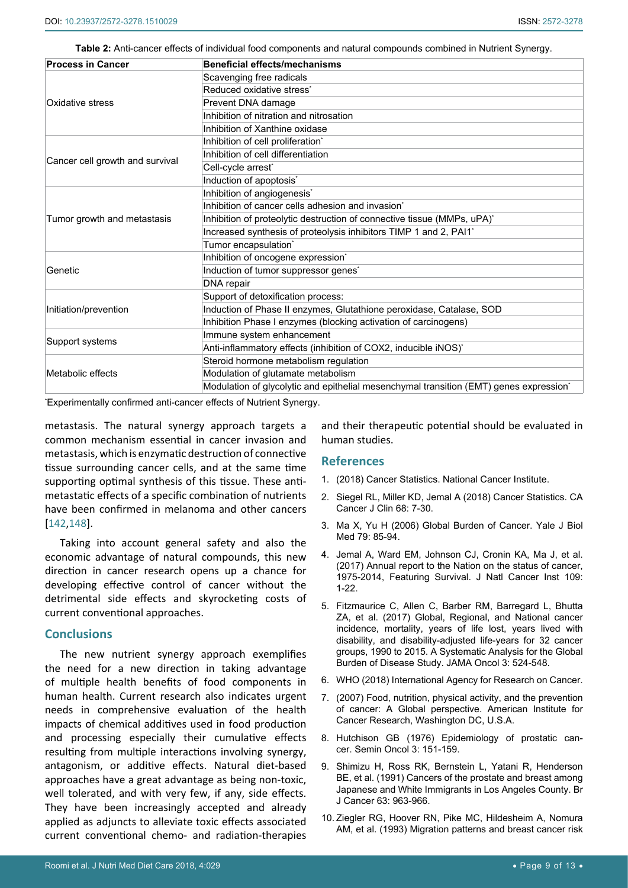<span id="page-8-8"></span>**Table 2:** Anti-cancer effects of individual food components and natural compounds combined in Nutrient Synergy.

| <b>Process in Cancer</b>        | <b>Beneficial effects/mechanisms</b>                                                               |  |  |  |
|---------------------------------|----------------------------------------------------------------------------------------------------|--|--|--|
|                                 | Scavenging free radicals                                                                           |  |  |  |
|                                 | Reduced oxidative stress <sup>*</sup>                                                              |  |  |  |
| Oxidative stress                | Prevent DNA damage                                                                                 |  |  |  |
|                                 | Inhibition of nitration and nitrosation                                                            |  |  |  |
|                                 | Inhibition of Xanthine oxidase                                                                     |  |  |  |
|                                 | Inhibition of cell proliferation <sup>®</sup>                                                      |  |  |  |
|                                 | Inhibition of cell differentiation                                                                 |  |  |  |
| Cancer cell growth and survival | Cell-cycle arrest*                                                                                 |  |  |  |
|                                 | Induction of apoptosis*                                                                            |  |  |  |
|                                 | Inhibition of angiogenesis*                                                                        |  |  |  |
|                                 | Inhibition of cancer cells adhesion and invasion*                                                  |  |  |  |
| Tumor growth and metastasis     | Inhibition of proteolytic destruction of connective tissue (MMPs, uPA)*                            |  |  |  |
|                                 | Increased synthesis of proteolysis inhibitors TIMP 1 and 2, PAI1*                                  |  |  |  |
|                                 | Tumor encapsulation*                                                                               |  |  |  |
|                                 | Inhibition of oncogene expression*                                                                 |  |  |  |
| Genetic                         | Induction of tumor suppressor genes <sup>*</sup>                                                   |  |  |  |
|                                 | DNA repair                                                                                         |  |  |  |
|                                 | Support of detoxification process:                                                                 |  |  |  |
| Initiation/prevention           | Induction of Phase II enzymes, Glutathione peroxidase, Catalase, SOD                               |  |  |  |
|                                 | Inhibition Phase I enzymes (blocking activation of carcinogens)                                    |  |  |  |
| Support systems                 | Immune system enhancement                                                                          |  |  |  |
|                                 | Anti-inflammatory effects (inhibition of COX2, inducible iNOS)*                                    |  |  |  |
|                                 | Steroid hormone metabolism regulation                                                              |  |  |  |
| Metabolic effects               | Modulation of glutamate metabolism                                                                 |  |  |  |
|                                 | Modulation of glycolytic and epithelial mesenchymal transition (EMT) genes expression <sup>*</sup> |  |  |  |

\* Experimentally confirmed anti-cancer effects of Nutrient Synergy.

metastasis. The natural synergy approach targets a common mechanism essential in cancer invasion and metastasis, which is enzymatic destruction of connective tissue surrounding cancer cells, and at the same time supporting optimal synthesis of this tissue. These antimetastatic effects of a specific combination of nutrients have been confirmed in melanoma and other cancers [[142](#page-12-18),[148](#page-12-23)].

Taking into account general safety and also the economic advantage of natural compounds, this new direction in cancer research opens up a chance for developing effective control of cancer without the detrimental side effects and skyrocketing costs of current conventional approaches.

## **Conclusions**

The new nutrient synergy approach exemplifies the need for a new direction in taking advantage of multiple health benefits of food components in human health. Current research also indicates urgent needs in comprehensive evaluation of the health impacts of chemical additives used in food production and processing especially their cumulative effects resulting from multiple interactions involving synergy, antagonism, or additive effects. Natural diet-based approaches have a great advantage as being non-toxic, well tolerated, and with very few, if any, side effects. They have been increasingly accepted and already applied as adjuncts to alleviate toxic effects associated current conventional chemo- and radiation-therapies

and their therapeutic potential should be evaluated in human studies.

## **References**

- <span id="page-8-5"></span>1. [\(2018\) Cancer Statistics. National Cancer Institute.](https://www.cancer.gov/about-cancer/understanding/statistics)
- <span id="page-8-6"></span>2. [Siegel RL, Miller KD, Jemal A \(2018\) Cancer Statistics. CA](https://www.ncbi.nlm.nih.gov/pubmed/29313949)  [Cancer J Clin 68: 7-30.](https://www.ncbi.nlm.nih.gov/pubmed/29313949)
- <span id="page-8-0"></span>3. [Ma X, Yu H \(2006\) Global Burden of Cancer. Yale J Biol](https://www.ncbi.nlm.nih.gov/pubmed/17940618)  [Med 79: 85-94.](https://www.ncbi.nlm.nih.gov/pubmed/17940618)
- <span id="page-8-7"></span>4. [Jemal A, Ward EM, Johnson CJ, Cronin KA, Ma J, et al.](https://www.ncbi.nlm.nih.gov/pubmed/28376154)  [\(2017\) Annual report to the Nation on the status of cancer,](https://www.ncbi.nlm.nih.gov/pubmed/28376154)  [1975-2014, Featuring Survival. J Natl Cancer Inst 109:](https://www.ncbi.nlm.nih.gov/pubmed/28376154)  [1-22.](https://www.ncbi.nlm.nih.gov/pubmed/28376154)
- <span id="page-8-1"></span>5. [Fitzmaurice C, Allen C, Barber RM, Barregard L, Bhutta](https://www.ncbi.nlm.nih.gov/pubmed/27918777)  [ZA, et al. \(2017\) Global, Regional, and National cancer](https://www.ncbi.nlm.nih.gov/pubmed/27918777)  [incidence, mortality, years of life lost, years lived with](https://www.ncbi.nlm.nih.gov/pubmed/27918777)  [disability, and disability-adjusted life-years for 32 cancer](https://www.ncbi.nlm.nih.gov/pubmed/27918777)  [groups, 1990 to 2015. A Systematic Analysis for the Global](https://www.ncbi.nlm.nih.gov/pubmed/27918777)  [Burden of Disease Study. JAMA Oncol 3: 524-548.](https://www.ncbi.nlm.nih.gov/pubmed/27918777)
- <span id="page-8-2"></span>6. [WHO \(2018\) International Agency for Research on Cancer.](http://www.iarc.fr/en/media-centre/iarcnews/2018/gco_globocan2018.php)
- <span id="page-8-3"></span>7. [\(2007\) Food, nutrition, physical activity, and the prevention](http://www.aicr.org/assets/docs/pdf/reports/Second_Expert_Report.pdf)  [of cancer: A Global perspective. American Institute for](http://www.aicr.org/assets/docs/pdf/reports/Second_Expert_Report.pdf)  [Cancer Research, Washington DC, U.S.A.](http://www.aicr.org/assets/docs/pdf/reports/Second_Expert_Report.pdf)
- <span id="page-8-4"></span>8. Hutchison GB (1976) [Epidemiology](https://www.ncbi.nlm.nih.gov/pubmed/59387) of prostatic cancer. Semin [Oncol 3: 151-159.](https://www.ncbi.nlm.nih.gov/pubmed/59387)
- 9. [Shimizu H, Ross RK, Bernstein L, Yatani R, Henderson](https://www.ncbi.nlm.nih.gov/pubmed/2069852)  [BE, et al. \(1991\) Cancers of the prostate and breast among](https://www.ncbi.nlm.nih.gov/pubmed/2069852)  [Japanese and White Immigrants in Los Angeles County. Br](https://www.ncbi.nlm.nih.gov/pubmed/2069852)  [J Cancer 63: 963-966.](https://www.ncbi.nlm.nih.gov/pubmed/2069852)
- 10. [Ziegler RG, Hoover RN, Pike MC, Hildesheim A, Nomura](https://www.ncbi.nlm.nih.gov/pubmed/8230262)  [AM, et al. \(1993\) Migration patterns and breast cancer risk](https://www.ncbi.nlm.nih.gov/pubmed/8230262)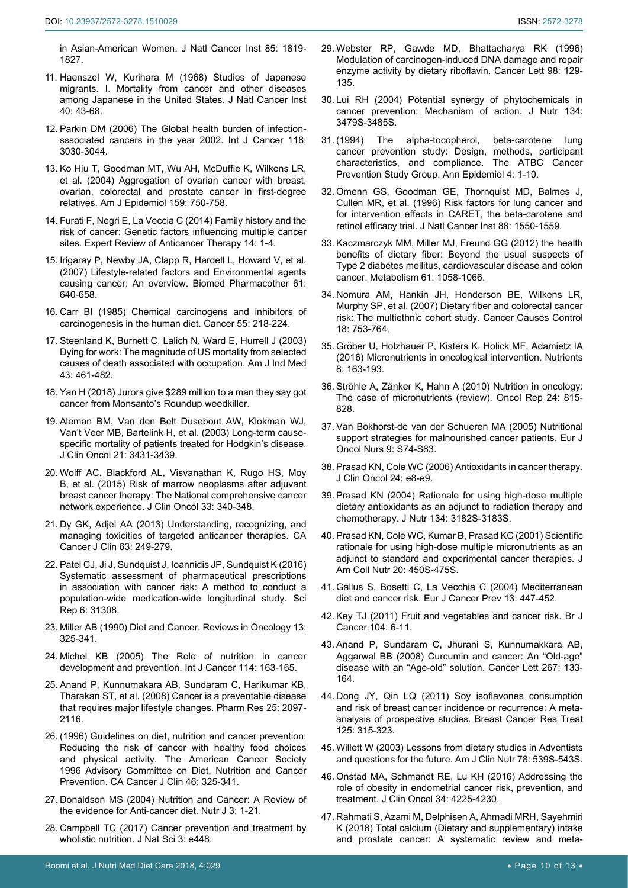[in Asian-American Women. J Natl Cancer Inst 85: 1819-](https://www.ncbi.nlm.nih.gov/pubmed/8230262) [1827.](https://www.ncbi.nlm.nih.gov/pubmed/8230262)

- <span id="page-9-0"></span>11. [Haenszel W, Kurihara M \(1968\) Studies of Japanese](https://www.ncbi.nlm.nih.gov/pubmed/5635018)  [migrants. I. Mortality from cancer and other diseases](https://www.ncbi.nlm.nih.gov/pubmed/5635018)  [among Japanese in the United States. J Natl Cancer Inst](https://www.ncbi.nlm.nih.gov/pubmed/5635018)  [40: 43-68.](https://www.ncbi.nlm.nih.gov/pubmed/5635018)
- <span id="page-9-10"></span>12. [Parkin DM \(2006\) The Global health burden of infection](https://www.ncbi.nlm.nih.gov/pubmed/16404738)[sssociated cancers in the year 2002. Int J Cancer 118:](https://www.ncbi.nlm.nih.gov/pubmed/16404738)  [3030-3044.](https://www.ncbi.nlm.nih.gov/pubmed/16404738)
- 13. [Ko Hiu T, Goodman MT, Wu AH, McDuffie K, Wilkens LR,](https://www.ncbi.nlm.nih.gov/pubmed/15051584)  [et al. \(2004\) Aggregation of ovarian cancer with breast,](https://www.ncbi.nlm.nih.gov/pubmed/15051584)  [ovarian, colorectal and prostate cancer in first-degree](https://www.ncbi.nlm.nih.gov/pubmed/15051584)  [relatives. Am J Epidemiol 159: 750-758.](https://www.ncbi.nlm.nih.gov/pubmed/15051584)
- <span id="page-9-11"></span>14. [Furati F, Negri E, La Veccia C \(2014\) Family history and the](https://www.tandfonline.com/doi/full/10.1586/14737140.2014.863713)  [risk of cancer: Genetic factors influencing multiple cancer](https://www.tandfonline.com/doi/full/10.1586/14737140.2014.863713)  [sites. Expert Review of Anticancer Therapy 14: 1-4.](https://www.tandfonline.com/doi/full/10.1586/14737140.2014.863713)
- <span id="page-9-12"></span>15. [Irigaray P, Newby JA, Clapp R, Hardell L, Howard V, et al.](https://www.ncbi.nlm.nih.gov/pubmed/18055160)  [\(2007\) Lifestyle-related factors and Environmental agents](https://www.ncbi.nlm.nih.gov/pubmed/18055160)  causing cancer: [An overview. Biomed Pharmacother 61:](https://www.ncbi.nlm.nih.gov/pubmed/18055160)  [640-658.](https://www.ncbi.nlm.nih.gov/pubmed/18055160)
- <span id="page-9-13"></span>16. [Carr BI \(1985\) Chemical carcinogens and inhibitors of](https://www.ncbi.nlm.nih.gov/pubmed/2981142)  [carcinogenesis in the human diet. Cancer 55: 218-224.](https://www.ncbi.nlm.nih.gov/pubmed/2981142)
- <span id="page-9-14"></span>17. [Steenland K, Burnett C, Lalich N, Ward E, Hurrell J \(2003\)](http://citeseerx.ist.psu.edu/viewdoc/download?doi=10.1.1.569.283&rep=rep1&type=pdf)  [Dying for work: The magnitude of US mortality from selected](http://citeseerx.ist.psu.edu/viewdoc/download?doi=10.1.1.569.283&rep=rep1&type=pdf)  [causes of death associated with occupation. Am J Ind Med](http://citeseerx.ist.psu.edu/viewdoc/download?doi=10.1.1.569.283&rep=rep1&type=pdf)  [43: 461-482.](http://citeseerx.ist.psu.edu/viewdoc/download?doi=10.1.1.569.283&rep=rep1&type=pdf)
- <span id="page-9-15"></span>18. [Yan H \(2018\) Jurors give \\$289 million to a man they say got](https://edition.cnn.com/2018/08/10/health/monsanto-johnson-trial-verdict/index.html)  [cancer from Monsanto's Roundup weedkiller.](https://edition.cnn.com/2018/08/10/health/monsanto-johnson-trial-verdict/index.html)
- <span id="page-9-1"></span>19. [Aleman BM, Van den Belt Dusebout AW, Klokman WJ,](https://www.ncbi.nlm.nih.gov/pubmed/12885835)  [Van't Veer MB, Bartelink H, et al. \(2003\) Long-term cause](https://www.ncbi.nlm.nih.gov/pubmed/12885835)[specific mortality of patients treated for Hodgkin's disease.](https://www.ncbi.nlm.nih.gov/pubmed/12885835)  [J Clin Oncol 21: 3431-3439.](https://www.ncbi.nlm.nih.gov/pubmed/12885835)
- 20. [Wolff AC, Blackford AL, Visvanathan K, Rugo HS, Moy](https://www.ncbi.nlm.nih.gov/pmc/articles/PMC4302215/)  [B, et al. \(2015\) Risk of marrow neoplasms after adjuvant](https://www.ncbi.nlm.nih.gov/pmc/articles/PMC4302215/)  [breast cancer therapy: The National comprehensive cancer](https://www.ncbi.nlm.nih.gov/pmc/articles/PMC4302215/)  [network experience. J Clin Oncol 33: 340-348.](https://www.ncbi.nlm.nih.gov/pmc/articles/PMC4302215/)
- 21. [Dy GK, Adjei AA \(2013\) Understanding, recognizing, and](https://www.ncbi.nlm.nih.gov/pubmed/23716430)  [managing toxicities of targeted anticancer therapies. CA](https://www.ncbi.nlm.nih.gov/pubmed/23716430)  [Cancer J Clin 63: 249-279.](https://www.ncbi.nlm.nih.gov/pubmed/23716430)
- <span id="page-9-2"></span>22. [Patel CJ, Ji J, Sundquist J, Ioannidis JP, Sundquist K \(2016\)](https://www.ncbi.nlm.nih.gov/pmc/articles/PMC4979093/)  [Systematic assessment of pharmaceutical prescriptions](https://www.ncbi.nlm.nih.gov/pmc/articles/PMC4979093/)  [in association with cancer risk: A method to conduct a](https://www.ncbi.nlm.nih.gov/pmc/articles/PMC4979093/)  [population-wide medication-wide longitudinal study. Sci](https://www.ncbi.nlm.nih.gov/pmc/articles/PMC4979093/)  [Rep 6: 31308.](https://www.ncbi.nlm.nih.gov/pmc/articles/PMC4979093/)
- <span id="page-9-3"></span>23. Miller AB (1990) Diet and Cancer. Reviews in Oncology 13: 325-341.
- <span id="page-9-4"></span>24. [Michel KB \(2005\) The Role of nutrition in cancer](https://www.ncbi.nlm.nih.gov/pubmed/15540221)  [development and prevention. Int J Cancer 114: 163-165.](https://www.ncbi.nlm.nih.gov/pubmed/15540221)
- <span id="page-9-5"></span>25. [Anand P, Kunnumakara AB, Sundaram C, Harikumar KB,](https://www.ncbi.nlm.nih.gov/pmc/articles/PMC2515569/)  [Tharakan ST, et al. \(2008\) Cancer is a preventable disease](https://www.ncbi.nlm.nih.gov/pmc/articles/PMC2515569/)  [that requires major lifestyle changes. Pharm Res 25: 2097-](https://www.ncbi.nlm.nih.gov/pmc/articles/PMC2515569/) [2116.](https://www.ncbi.nlm.nih.gov/pmc/articles/PMC2515569/)
- <span id="page-9-6"></span>26. [\(1996\) Guidelines on diet, nutrition and cancer prevention:](https://www.ncbi.nlm.nih.gov/pubmed/8917019)  [Reducing the risk of cancer with healthy food choices](https://www.ncbi.nlm.nih.gov/pubmed/8917019)  [and physical activity. The American Cancer Society](https://www.ncbi.nlm.nih.gov/pubmed/8917019)  [1996 Advisory Committee on Diet, Nutrition and Cancer](https://www.ncbi.nlm.nih.gov/pubmed/8917019)  [Prevention. CA Cancer J Clin 46: 325-341.](https://www.ncbi.nlm.nih.gov/pubmed/8917019)
- <span id="page-9-7"></span>27. [Donaldson MS \(2004\) Nutrition and Cancer: A Review of](https://www.ncbi.nlm.nih.gov/pubmed/15496224)  [the evidence for Anti-cancer diet. Nutr J 3: 1-21.](https://www.ncbi.nlm.nih.gov/pubmed/15496224)
- 28. [Campbell TC \(2017\) Cancer prevention and treatment by](https://www.ncbi.nlm.nih.gov/pubmed/29057328)  [wholistic nutrition. J Nat Sci 3: e448.](https://www.ncbi.nlm.nih.gov/pubmed/29057328)
- <span id="page-9-8"></span>29. [Webster RP, Gawde MD, Bhattacharya RK \(1996\)](https://www.ncbi.nlm.nih.gov/pubmed/8556699)  [Modulation of carcinogen-induced DNA damage and repair](https://www.ncbi.nlm.nih.gov/pubmed/8556699)  [enzyme activity by dietary riboflavin. Cancer Lett 98: 129-](https://www.ncbi.nlm.nih.gov/pubmed/8556699) [135.](https://www.ncbi.nlm.nih.gov/pubmed/8556699)
- <span id="page-9-9"></span>30. [Lui RH \(2004\) Potential synergy of phytochemicals in](https://www.ncbi.nlm.nih.gov/pubmed/15570057)  [cancer prevention: Mechanism of action. J Nutr 134:](https://www.ncbi.nlm.nih.gov/pubmed/15570057)  [3479S-3485S.](https://www.ncbi.nlm.nih.gov/pubmed/15570057)
- <span id="page-9-20"></span>31. [\(1994\) The alpha-tocopherol, beta-carotene lung](https://www.ncbi.nlm.nih.gov/pubmed/8205268)  [cancer prevention study: Design, methods, participant](https://www.ncbi.nlm.nih.gov/pubmed/8205268)  [characteristics, and compliance. The ATBC Cancer](https://www.ncbi.nlm.nih.gov/pubmed/8205268)  [Prevention Study Group. Ann Epidemiol 4: 1-10.](https://www.ncbi.nlm.nih.gov/pubmed/8205268)
- <span id="page-9-21"></span>32. [Omenn GS, Goodman GE, Thornquist MD, Balmes J,](https://www.ncbi.nlm.nih.gov/pubmed/8901853)  [Cullen MR, et al. \(1996\) Risk factors for lung cancer and](https://www.ncbi.nlm.nih.gov/pubmed/8901853)  [for intervention effects in CARET, the beta-carotene and](https://www.ncbi.nlm.nih.gov/pubmed/8901853)  [retinol efficacy trial. J Natl Cancer Inst 88: 1550-1559.](https://www.ncbi.nlm.nih.gov/pubmed/8901853)
- <span id="page-9-22"></span>33. [Kaczmarczyk MM, Miller MJ, Freund GG \(2012\) the health](https://www.ncbi.nlm.nih.gov/pubmed/22401879)  [benefits of dietary fiber: Beyond the usual suspects of](https://www.ncbi.nlm.nih.gov/pubmed/22401879)  [Type 2 diabetes mellitus, cardiovascular disease and colon](https://www.ncbi.nlm.nih.gov/pubmed/22401879)  [cancer. Metabolism 61: 1058-1066.](https://www.ncbi.nlm.nih.gov/pubmed/22401879)
- <span id="page-9-23"></span>34. [Nomura AM, Hankin JH, Henderson BE, Wilkens LR,](https://www.ncbi.nlm.nih.gov/pubmed/17557210)  [Murphy SP, et al. \(2007\) Dietary fiber and colorectal cancer](https://www.ncbi.nlm.nih.gov/pubmed/17557210)  [risk: The multiethnic cohort study. Cancer Causes Control](https://www.ncbi.nlm.nih.gov/pubmed/17557210)  [18: 753-764.](https://www.ncbi.nlm.nih.gov/pubmed/17557210)
- <span id="page-9-24"></span>35. [Gröber U, Holzhauer P, Kisters K, Holick MF, Adamietz IA](https://www.ncbi.nlm.nih.gov/pmc/articles/PMC4808891/)  [\(2016\) Micronutrients in oncological intervention. Nutrients](https://www.ncbi.nlm.nih.gov/pmc/articles/PMC4808891/)  [8: 163-193.](https://www.ncbi.nlm.nih.gov/pmc/articles/PMC4808891/)
- 36. [Ströhle A, Zänker K, Hahn A \(2010\) Nutrition in oncology:](https://www.ncbi.nlm.nih.gov/pubmed/20811659)  [The case of micronutrients \(review\). Oncol Rep 24: 815-](https://www.ncbi.nlm.nih.gov/pubmed/20811659) [828.](https://www.ncbi.nlm.nih.gov/pubmed/20811659)
- <span id="page-9-25"></span>37. [Van Bokhorst-de van der Schueren MA \(2005\) Nutritional](https://www.ncbi.nlm.nih.gov/pubmed/16437760)  [support strategies for malnourished cancer patients. Eur J](https://www.ncbi.nlm.nih.gov/pubmed/16437760)  [Oncol Nurs 9: S74-S83.](https://www.ncbi.nlm.nih.gov/pubmed/16437760)
- <span id="page-9-26"></span>38. [Prasad KN, Cole WC \(2006\) Antioxidants in cancer therapy.](https://www.ncbi.nlm.nih.gov/pubmed/16484690)  [J Clin Oncol 24: e8-e9.](https://www.ncbi.nlm.nih.gov/pubmed/16484690)
- 39. [Prasad KN \(2004\) Rationale for using high-dose multiple](https://www.ncbi.nlm.nih.gov/pubmed/15514298)  [dietary antioxidants as an adjunct to radiation therapy and](https://www.ncbi.nlm.nih.gov/pubmed/15514298)  [chemotherapy. J Nutr 134: 3182S-3183S.](https://www.ncbi.nlm.nih.gov/pubmed/15514298)
- <span id="page-9-27"></span>40. [Prasad KN, Cole WC, Kumar B, Prasad KC](https://www.ncbi.nlm.nih.gov/pubmed/11603656) (2001) Scientific [rationale for using high-dose multiple micronutrients as an](https://www.ncbi.nlm.nih.gov/pubmed/11603656)  [adjunct to standard and experimental cancer therapies. J](https://www.ncbi.nlm.nih.gov/pubmed/11603656)  [Am Coll Nutr 20: 450S-475S.](https://www.ncbi.nlm.nih.gov/pubmed/11603656)
- <span id="page-9-28"></span>41. [Gallus S, Bosetti C, La Vecchia C \(2004\) Mediterranean](https://www.ncbi.nlm.nih.gov/pubmed/15452458)  [diet and cancer risk. Eur J Cancer Prev 13: 447-452.](https://www.ncbi.nlm.nih.gov/pubmed/15452458)
- <span id="page-9-29"></span>42. [Key TJ \(2011\) Fruit and vegetables and cancer risk. Br J](https://www.ncbi.nlm.nih.gov/pmc/articles/PMC3039795/)  [Cancer 104: 6-11.](https://www.ncbi.nlm.nih.gov/pmc/articles/PMC3039795/)
- <span id="page-9-30"></span>43. [Anand P, Sundaram C, Jhurani S, Kunnumakkara AB,](https://www.ncbi.nlm.nih.gov/pubmed/18462866)  [Aggarwal BB \(2008\) Curcumin and cancer: An "Old-age"](https://www.ncbi.nlm.nih.gov/pubmed/18462866)  [disease with an "Age-old" solution. Cancer Lett 267: 133-](https://www.ncbi.nlm.nih.gov/pubmed/18462866) [164.](https://www.ncbi.nlm.nih.gov/pubmed/18462866)
- <span id="page-9-16"></span>44. [Dong JY, Qin LQ \(2011\) Soy isoflavones consumption](https://www.ncbi.nlm.nih.gov/pubmed/21113655)  [and risk of breast cancer incidence or recurrence: A meta](https://www.ncbi.nlm.nih.gov/pubmed/21113655)[analysis of prospective studies. Breast Cancer Res Treat](https://www.ncbi.nlm.nih.gov/pubmed/21113655)  [125: 315-323.](https://www.ncbi.nlm.nih.gov/pubmed/21113655)
- <span id="page-9-17"></span>45. [Willett W \(2003\) Lessons from dietary studies in Adventists](https://www.ncbi.nlm.nih.gov/pubmed/12936947)  [and questions for the future. Am J Clin Nutr 78: 539S-543S.](https://www.ncbi.nlm.nih.gov/pubmed/12936947)
- <span id="page-9-18"></span>46. [Onstad MA, Schmandt RE, Lu KH \(2016\) Addressing the](https://www.ncbi.nlm.nih.gov/pubmed/27903150)  [role of obesity in endometrial cancer risk, prevention, and](https://www.ncbi.nlm.nih.gov/pubmed/27903150)  [treatment. J Clin Oncol 34: 4225-4230.](https://www.ncbi.nlm.nih.gov/pubmed/27903150)
- <span id="page-9-19"></span>47. [Rahmati S, Azami M, Delphisen A, Ahmadi MRH, Sayehmiri](https://www.ncbi.nlm.nih.gov/pubmed/29936714)  [K \(2018\) Total calcium \(Dietary and supplementary\) intake](https://www.ncbi.nlm.nih.gov/pubmed/29936714)  [and prostate cancer: A systematic review and meta-](https://www.ncbi.nlm.nih.gov/pubmed/29936714)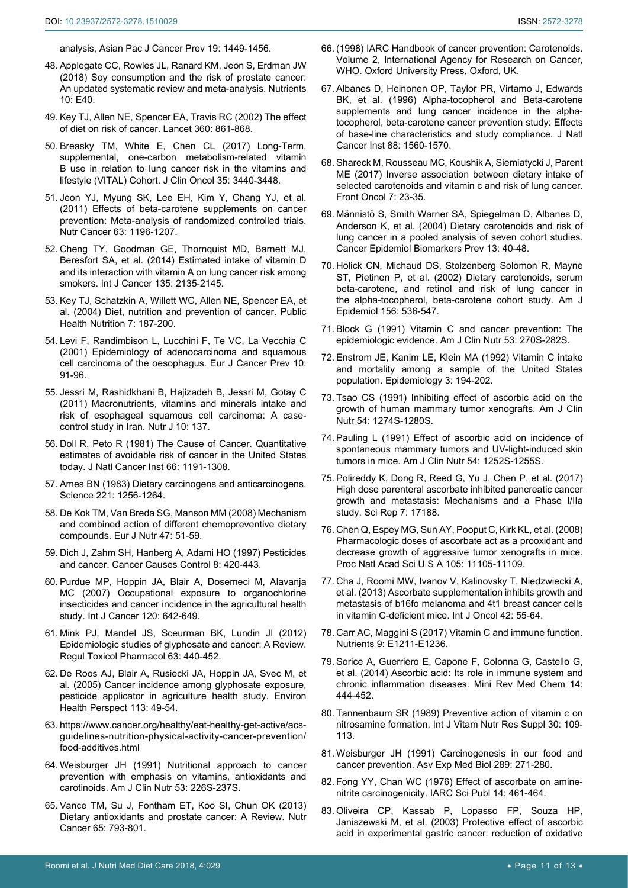<span id="page-10-0"></span>[analysis, Asian Pac J Cancer Prev 19: 1449-1456.](https://www.ncbi.nlm.nih.gov/pubmed/29936714)

- 48. [Applegate CC, Rowles JL, Ranard KM, Jeon S, Erdman JW](https://www.ncbi.nlm.nih.gov/pubmed/29300347)  [\(2018\) Soy consumption and the risk of prostate cancer:](https://www.ncbi.nlm.nih.gov/pubmed/29300347)  [An updated systematic review and meta-analysis. Nutrients](https://www.ncbi.nlm.nih.gov/pubmed/29300347)  [10: E40.](https://www.ncbi.nlm.nih.gov/pubmed/29300347)
- <span id="page-10-1"></span>49. [Key TJ, Allen NE, Spencer EA, Travis RC \(2002\) The effect](https://www.ncbi.nlm.nih.gov/pubmed/12243933)  [of diet on risk of cancer. Lancet 360: 861-868.](https://www.ncbi.nlm.nih.gov/pubmed/12243933)
- <span id="page-10-18"></span>50. [Breasky TM, White E, Chen CL \(2017\) Long-Term,](https://www.ncbi.nlm.nih.gov/pubmed/28829668)  [supplemental, one-carbon metabolism-related vitamin](https://www.ncbi.nlm.nih.gov/pubmed/28829668)  [B use in relation to lung cancer risk in the vitamins and](https://www.ncbi.nlm.nih.gov/pubmed/28829668)  [lifestyle \(VITAL\) Cohort. J Clin Oncol 35: 3440-3448.](https://www.ncbi.nlm.nih.gov/pubmed/28829668)
- <span id="page-10-11"></span>51. [Jeon YJ, Myung SK, Lee EH, Kim Y, Chang YJ, et al.](https://www.ncbi.nlm.nih.gov/pubmed/21981610)  [\(2011\) Effects of beta-carotene supplements on cancer](https://www.ncbi.nlm.nih.gov/pubmed/21981610)  [prevention: Meta-analysis of randomized controlled trials.](https://www.ncbi.nlm.nih.gov/pubmed/21981610)  [Nutr Cancer 63: 1196-1207.](https://www.ncbi.nlm.nih.gov/pubmed/21981610)
- <span id="page-10-19"></span>52. [Cheng TY, Goodman GE, Thornquist MD, Barnett MJ,](https://www.ncbi.nlm.nih.gov/pubmed/24622914)  [Beresfort SA, et al. \(2014\) Estimated intake of vitamin D](https://www.ncbi.nlm.nih.gov/pubmed/24622914)  [and its interaction with vitamin A on lung cancer risk among](https://www.ncbi.nlm.nih.gov/pubmed/24622914)  [smokers. Int J Cancer 135: 2135-2145.](https://www.ncbi.nlm.nih.gov/pubmed/24622914)
- <span id="page-10-2"></span>53. [Key TJ, Schatzkin A, Willett WC, Allen NE, Spencer EA, et](http://www.who.int/nutrition/publications/public_health_nut6.pdf)  [al. \(2004\) Diet, nutrition and prevention of cancer. Public](http://www.who.int/nutrition/publications/public_health_nut6.pdf)  [Health Nutrition 7: 187-200.](http://www.who.int/nutrition/publications/public_health_nut6.pdf)
- <span id="page-10-20"></span>54. [Levi F, Randimbison L, Lucchini F, Te VC, La Vecchia C](https://www.ncbi.nlm.nih.gov/pubmed/11263597?dopt=Abstract)  [\(2001\) Epidemiology of adenocarcinoma and squamous](https://www.ncbi.nlm.nih.gov/pubmed/11263597?dopt=Abstract)  [cell carcinoma of the oesophagus. Eur J Cancer Prev 10:](https://www.ncbi.nlm.nih.gov/pubmed/11263597?dopt=Abstract)  [91-96.](https://www.ncbi.nlm.nih.gov/pubmed/11263597?dopt=Abstract)
- <span id="page-10-21"></span>55. [Jessri M, Rashidkhani B, Hajizadeh B, Jessri M, Gotay C](https://www.ncbi.nlm.nih.gov/pubmed/22185224)  [\(2011\) Macronutrients, vitamins and minerals intake and](https://www.ncbi.nlm.nih.gov/pubmed/22185224)  [risk of esophageal squamous cell carcinoma: A case](https://www.ncbi.nlm.nih.gov/pubmed/22185224)[control study in Iran. Nutr J 10: 137.](https://www.ncbi.nlm.nih.gov/pubmed/22185224)
- <span id="page-10-3"></span>56. [Doll R, Peto R \(1981\) The Cause of Cancer. Quantitative](https://www.ncbi.nlm.nih.gov/pubmed/7017215)  [estimates of avoidable risk of cancer in the United States](https://www.ncbi.nlm.nih.gov/pubmed/7017215)  [today. J Natl Cancer Inst 66: 1191-1308.](https://www.ncbi.nlm.nih.gov/pubmed/7017215)
- <span id="page-10-4"></span>57. [Ames BN \(1983\) Dietary carcinogens and anticarcinogens.](http://toxicology.usu.edu/endnote/Dietary-carcinogens-and-anticarcinogens.pdf)  [Science 221: 1256-1264.](http://toxicology.usu.edu/endnote/Dietary-carcinogens-and-anticarcinogens.pdf)
- <span id="page-10-5"></span>58. [De Kok TM, Van Breda SG, Manson MM \(2008\) Mechanism](https://www.ncbi.nlm.nih.gov/pubmed/18458834)  [and combined action of different chemopreventive dietary](https://www.ncbi.nlm.nih.gov/pubmed/18458834)  [compounds. Eur J Nutr 47: 51-59.](https://www.ncbi.nlm.nih.gov/pubmed/18458834)
- <span id="page-10-29"></span>59. [Dich J, Zahm SH, Hanberg A, Adami HO \(1997\) Pesticides](https://www.ncbi.nlm.nih.gov/pubmed/9498903)  [and cancer. Cancer Causes Control 8: 420-443.](https://www.ncbi.nlm.nih.gov/pubmed/9498903)
- <span id="page-10-30"></span>60. [Purdue MP, Hoppin JA, Blair A, Dosemeci M, Alavanja](https://www.ncbi.nlm.nih.gov/pubmed/17096337)  [MC \(2007\) Occupational exposure to organochlorine](https://www.ncbi.nlm.nih.gov/pubmed/17096337)  [insecticides and cancer incidence in the agricultural health](https://www.ncbi.nlm.nih.gov/pubmed/17096337)  [study. Int J Cancer 120: 642-649.](https://www.ncbi.nlm.nih.gov/pubmed/17096337)
- <span id="page-10-31"></span>61. [Mink PJ, Mandel JS, Sceurman BK, Lundin JI \(2012\)](https://www.ncbi.nlm.nih.gov/pubmed/22683395)  [Epidemiologic studies of glyphosate and cancer: A Review.](https://www.ncbi.nlm.nih.gov/pubmed/22683395)  [Regul Toxicol Pharmacol 63: 440-452.](https://www.ncbi.nlm.nih.gov/pubmed/22683395)
- <span id="page-10-6"></span>62. [De Roos AJ, Blair A, Rusiecki JA, Hoppin JA, Svec M, et](https://www.ncbi.nlm.nih.gov/pubmed/15626647)  [al. \(2005\) Cancer incidence among glyphosate exposure,](https://www.ncbi.nlm.nih.gov/pubmed/15626647)  [pesticide applicator in agriculture health study. Environ](https://www.ncbi.nlm.nih.gov/pubmed/15626647)  [Health Perspect 113: 49-54.](https://www.ncbi.nlm.nih.gov/pubmed/15626647)
- <span id="page-10-7"></span>63. [https://www.cancer.org/healthy/eat-healthy-get-active/acs](https://www.cancer.org/healthy/eat-healthy-get-active/acs-guidelines-nutrition-physical-activity-cancer-prevention/food-additives.html)[guidelines-nutrition-physical-activity-cancer-prevention/](https://www.cancer.org/healthy/eat-healthy-get-active/acs-guidelines-nutrition-physical-activity-cancer-prevention/food-additives.html) [food-additives.html](https://www.cancer.org/healthy/eat-healthy-get-active/acs-guidelines-nutrition-physical-activity-cancer-prevention/food-additives.html)
- <span id="page-10-8"></span>64. [Weisburger JH \(1991\) Nutritional approach to cancer](https://www.ncbi.nlm.nih.gov/pubmed/1985392)  [prevention with emphasis on vitamins, antioxidants and](https://www.ncbi.nlm.nih.gov/pubmed/1985392)  [carotinoids. Am J Clin Nutr 53: 226S-237S.](https://www.ncbi.nlm.nih.gov/pubmed/1985392)
- <span id="page-10-9"></span>65. [Vance TM, Su J, Fontham ET, Koo SI, Chun OK \(2013\)](https://www.ncbi.nlm.nih.gov/pubmed/23909722)  [Dietary antioxidants and prostate cancer: A Review. Nutr](https://www.ncbi.nlm.nih.gov/pubmed/23909722)  [Cancer 65: 793-801.](https://www.ncbi.nlm.nih.gov/pubmed/23909722)
- <span id="page-10-10"></span>66. [\(1998\) IARC Handbook of cancer prevention: Carotenoids.](http://publications.iarc.fr/Book-And-Report-Series/Iarc-Handbooks-Of-Cancer-Prevention/Carotenoids-1998)  [Volume 2, International Agency for Research on Cancer,](http://publications.iarc.fr/Book-And-Report-Series/Iarc-Handbooks-Of-Cancer-Prevention/Carotenoids-1998)  [WHO. Oxford University Press, Oxford, UK.](http://publications.iarc.fr/Book-And-Report-Series/Iarc-Handbooks-Of-Cancer-Prevention/Carotenoids-1998)
- <span id="page-10-12"></span>67. [Albanes D, Heinonen OP, Taylor PR, Virtamo J, Edwards](https://www.ncbi.nlm.nih.gov/pubmed/8901854)  [BK, et al. \(1996\) Alpha-tocopherol and Beta-carotene](https://www.ncbi.nlm.nih.gov/pubmed/8901854)  [supplements and lung cancer incidence in the alpha](https://www.ncbi.nlm.nih.gov/pubmed/8901854)[tocopherol, beta-carotene cancer prevention study: Effects](https://www.ncbi.nlm.nih.gov/pubmed/8901854)  [of base-line characteristics and study compliance. J Natl](https://www.ncbi.nlm.nih.gov/pubmed/8901854)  [Cancer Inst 88: 1560-1570.](https://www.ncbi.nlm.nih.gov/pubmed/8901854)
- <span id="page-10-13"></span>68. [Shareck M, Rousseau MC, Koushik A, Siemiatycki J, Parent](https://www.ncbi.nlm.nih.gov/pubmed/28293540)  [ME \(2017\) Inverse association between dietary intake of](https://www.ncbi.nlm.nih.gov/pubmed/28293540)  [selected carotenoids and vitamin c and risk of lung cancer.](https://www.ncbi.nlm.nih.gov/pubmed/28293540)  [Front Oncol 7: 23-35.](https://www.ncbi.nlm.nih.gov/pubmed/28293540)
- <span id="page-10-14"></span>69. [Männistö S, Smith Warner SA, Spiegelman D, Albanes D,](https://www.ncbi.nlm.nih.gov/pubmed/14744731)  [Anderson K, et al. \(2004\) Dietary carotenoids and risk of](https://www.ncbi.nlm.nih.gov/pubmed/14744731)  [lung cancer in a pooled analysis of seven cohort studies.](https://www.ncbi.nlm.nih.gov/pubmed/14744731)  [Cancer Epidemiol Biomarkers Prev 13: 40-48.](https://www.ncbi.nlm.nih.gov/pubmed/14744731)
- <span id="page-10-15"></span>70. [Holick CN, Michaud DS, Stolzenberg Solomon R, Mayne](https://www.ncbi.nlm.nih.gov/pubmed/12226001)  [ST, Pietinen P, et al. \(2002\) Dietary carotenoids, serum](https://www.ncbi.nlm.nih.gov/pubmed/12226001)  [beta-carotene, and retinol and risk of lung cancer in](https://www.ncbi.nlm.nih.gov/pubmed/12226001)  [the alpha-tocopherol, beta-carotene cohort study. Am J](https://www.ncbi.nlm.nih.gov/pubmed/12226001)  [Epidemiol 156: 536-547.](https://www.ncbi.nlm.nih.gov/pubmed/12226001)
- <span id="page-10-16"></span>71. [Block G \(1991\) Vitamin C and cancer prevention: The](https://www.ncbi.nlm.nih.gov/pubmed/1985398)  [epidemiologic evidence. Am J Clin Nutr 53: 270S-282S.](https://www.ncbi.nlm.nih.gov/pubmed/1985398)
- <span id="page-10-17"></span>72. [Enstrom JE, Kanim LE, Klein MA \(1992\) Vitamin C intake](https://www.ncbi.nlm.nih.gov/pubmed/1591317)  [and mortality among a sample of the United States](https://www.ncbi.nlm.nih.gov/pubmed/1591317)  [population. Epidemiology 3: 194-202.](https://www.ncbi.nlm.nih.gov/pubmed/1591317)
- <span id="page-10-22"></span>73. [Tsao CS \(1991\) Inhibiting effect of ascorbic acid on the](https://www.ncbi.nlm.nih.gov/pubmed/1962582)  [growth of human mammary tumor xenografts. Am J Clin](https://www.ncbi.nlm.nih.gov/pubmed/1962582)  [Nutr 54: 1274S-1280S.](https://www.ncbi.nlm.nih.gov/pubmed/1962582)
- 74. [Pauling L \(1991\) Effect of ascorbic acid on incidence of](https://www.ncbi.nlm.nih.gov/pubmed/1962578)  [spontaneous mammary tumors and UV-light-induced skin](https://www.ncbi.nlm.nih.gov/pubmed/1962578)  [tumors in mice. Am J Clin Nutr 54: 1252S-1255S.](https://www.ncbi.nlm.nih.gov/pubmed/1962578)
- 75. [Polireddy K, Dong R, Reed G, Yu J, Chen P, et al. \(2017\)](https://www.ncbi.nlm.nih.gov/pubmed/29215048)  [High dose parenteral ascorbate inhibited pancreatic cancer](https://www.ncbi.nlm.nih.gov/pubmed/29215048)  [growth and metastasis: Mechanisms and a Phase I/IIa](https://www.ncbi.nlm.nih.gov/pubmed/29215048)  [study. Sci Rep 7: 17188.](https://www.ncbi.nlm.nih.gov/pubmed/29215048)
- <span id="page-10-23"></span>76. [Chen Q, Espey MG, Sun AY, Pooput C, Kirk KL, et al. \(2008\)](https://www.ncbi.nlm.nih.gov/pubmed/18678913)  [Pharmacologic doses of ascorbate act as a prooxidant and](https://www.ncbi.nlm.nih.gov/pubmed/18678913)  [decrease growth of aggressive tumor xenografts in mice.](https://www.ncbi.nlm.nih.gov/pubmed/18678913)  [Proc Natl Acad Sci U S A 105: 11105-11109.](https://www.ncbi.nlm.nih.gov/pubmed/18678913)
- <span id="page-10-24"></span>77. [Cha J, Roomi MW, Ivanov V, Kalinovsky T, Niedzwiecki A,](https://www.ncbi.nlm.nih.gov/pmc/articles/PMC3583641/)  [et al. \(2013\) Ascorbate supplementation inhibits growth and](https://www.ncbi.nlm.nih.gov/pmc/articles/PMC3583641/)  [metastasis of b16fo melanoma and 4t1 breast cancer cells](https://www.ncbi.nlm.nih.gov/pmc/articles/PMC3583641/)  [in vitamin C-deficient mice. Int J Oncol 42: 55-64.](https://www.ncbi.nlm.nih.gov/pmc/articles/PMC3583641/)
- <span id="page-10-25"></span>78. [Carr AC, Maggini S \(2017\) Vitamin C and immune function.](https://www.ncbi.nlm.nih.gov/pubmed/29099763)  [Nutrients 9: E1211-E1236.](https://www.ncbi.nlm.nih.gov/pubmed/29099763)
- <span id="page-10-26"></span>79. [Sorice A, Guerriero E, Capone F, Colonna G, Castello G,](https://www.ncbi.nlm.nih.gov/pubmed/24766384)  [et al. \(2014\) Ascorbic acid: Its role in immune system and](https://www.ncbi.nlm.nih.gov/pubmed/24766384)  [chronic inflammation diseases. Mini Rev](https://www.ncbi.nlm.nih.gov/pubmed/24766384) Med Chem 14: [444-452.](https://www.ncbi.nlm.nih.gov/pubmed/24766384)
- <span id="page-10-27"></span>80. [Tannenbaum SR \(1989\) Preventive action of vitamin c on](https://www.ncbi.nlm.nih.gov/pubmed/2507690)  [nitrosamine formation. Int J Vitam Nutr Res Suppl 30: 109-](https://www.ncbi.nlm.nih.gov/pubmed/2507690) [113.](https://www.ncbi.nlm.nih.gov/pubmed/2507690)
- <span id="page-10-28"></span>81. Weisburger JH (1991) Carcinogenesis in our food and cancer prevention. Asv Exp Med Biol 289: 271-280.
- 82. Fong YY, Chan WC (1976) Effect of ascorbate on aminenitrite carcinogenicity. IARC Sci Publ 14: 461-464.
- 83. [Oliveira CP, Kassab P, Lopasso FP, Souza HP,](https://www.ncbi.nlm.nih.gov/pmc/articles/PMC4621558/)  [Janiszewski M, et al. \(2003\) Protective effect of ascorbic](https://www.ncbi.nlm.nih.gov/pmc/articles/PMC4621558/)  [acid in experimental gastric cancer: reduction of oxidative](https://www.ncbi.nlm.nih.gov/pmc/articles/PMC4621558/)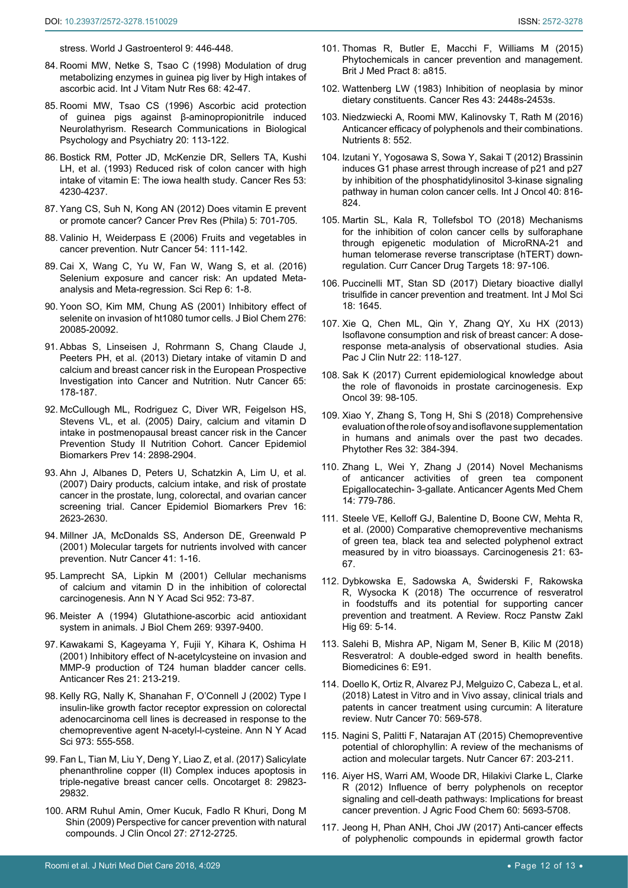[stress. World J Gastroenterol 9: 446-448.](https://www.ncbi.nlm.nih.gov/pmc/articles/PMC4621558/)

- 84. [Roomi MW, Netke S, Tsao C \(1998\) Modulation of drug](https://www.ncbi.nlm.nih.gov/pubmed/9503047)  [metabolizing enzymes in guinea pig liver by High intakes of](https://www.ncbi.nlm.nih.gov/pubmed/9503047)  [ascorbic acid. Int J Vitam Nutr Res 68: 42-47.](https://www.ncbi.nlm.nih.gov/pubmed/9503047)
- <span id="page-11-16"></span>85. Roomi MW, Tsao CS (1996) Ascorbic acid protection of guinea pigs against β-aminopropionitrile induced Neurolathyrism. Research Communications in Biological Psychology and Psychiatry 20: 113-122.
- <span id="page-11-17"></span>86. [Bostick RM, Potter JD, McKenzie DR, Sellers TA, Kushi](https://www.ncbi.nlm.nih.gov/pubmed/8364919)  [LH, et al. \(1993\) Reduced risk of colon cancer with high](https://www.ncbi.nlm.nih.gov/pubmed/8364919)  [intake of vitamin E: The iowa health study. Cancer Res 53:](https://www.ncbi.nlm.nih.gov/pubmed/8364919)  [4230-4237.](https://www.ncbi.nlm.nih.gov/pubmed/8364919)
- <span id="page-11-18"></span>87. [Yang CS, Suh N, Kong AN \(2012\) Does vitamin E prevent](https://www.ncbi.nlm.nih.gov/pubmed/22490437)  [or promote cancer? Cancer Prev Res \(Phila\) 5: 701-705.](https://www.ncbi.nlm.nih.gov/pubmed/22490437)
- <span id="page-11-3"></span>88. [Valinio H, Weiderpass E \(2006\) Fruits and vegetables in](https://www.ncbi.nlm.nih.gov/pubmed/16800779)  [cancer prevention. Nutr Cancer 54: 111-142.](https://www.ncbi.nlm.nih.gov/pubmed/16800779)
- <span id="page-11-19"></span>89. [Cai X, Wang C, Yu W, Fan W, Wang S, et al. \(2016\)](https://www.ncbi.nlm.nih.gov/pubmed/26786590)  [Selenium exposure and cancer risk: An updated Meta](https://www.ncbi.nlm.nih.gov/pubmed/26786590)[analysis and Meta-regression. Sci Rep 6: 1-8.](https://www.ncbi.nlm.nih.gov/pubmed/26786590)
- <span id="page-11-20"></span>90. [Yoon SO, Kim MM, Chung AS \(2001\) Inhibitory effect of](https://www.ncbi.nlm.nih.gov/pubmed/11274215)  [selenite on invasion of ht1080 tumor cells. J Biol Chem 276:](https://www.ncbi.nlm.nih.gov/pubmed/11274215)  [20085-20092.](https://www.ncbi.nlm.nih.gov/pubmed/11274215)
- <span id="page-11-21"></span>91. [Abbas S, Linseisen J, Rohrmann S, Chang Claude J,](https://www.ncbi.nlm.nih.gov/pubmed/23441605)  [Peeters PH, et al. \(2013\) Dietary intake of vitamin D and](https://www.ncbi.nlm.nih.gov/pubmed/23441605)  [calcium and breast cancer risk in the European Prospective](https://www.ncbi.nlm.nih.gov/pubmed/23441605)  [Investigation into Cancer and Nutrition. Nutr Cancer 65:](https://www.ncbi.nlm.nih.gov/pubmed/23441605)  [178-187.](https://www.ncbi.nlm.nih.gov/pubmed/23441605)
- <span id="page-11-22"></span>92. [McCullough ML, Rodriguez C, Diver WR, Feigelson HS,](https://www.ncbi.nlm.nih.gov/pubmed/16365007)  [Stevens VL, et al. \(2005\) Dairy, calcium and vitamin D](https://www.ncbi.nlm.nih.gov/pubmed/16365007)  [intake in postmenopausal breast cancer risk in the Cancer](https://www.ncbi.nlm.nih.gov/pubmed/16365007)  [Prevention Study II Nutrition Cohort. Cancer Epidemiol](https://www.ncbi.nlm.nih.gov/pubmed/16365007)  [Biomarkers Prev 14: 2898-2904.](https://www.ncbi.nlm.nih.gov/pubmed/16365007)
- <span id="page-11-23"></span>93. [Ahn J, Albanes D, Peters U, Schatzkin A, Lim U, et al.](https://www.ncbi.nlm.nih.gov/pubmed/18086766)  [\(2007\) Dairy products, calcium intake, and risk of prostate](https://www.ncbi.nlm.nih.gov/pubmed/18086766)  [cancer in the prostate, lung, colorectal, and ovarian cancer](https://www.ncbi.nlm.nih.gov/pubmed/18086766)  [screening trial. Cancer Epidemiol Biomarkers Prev 16:](https://www.ncbi.nlm.nih.gov/pubmed/18086766)  [2623-2630.](https://www.ncbi.nlm.nih.gov/pubmed/18086766)
- <span id="page-11-24"></span>94. [Millner JA, McDonalds SS, Anderson DE, Greenwald P](https://www.ncbi.nlm.nih.gov/pubmed/12094610)  [\(2001\) Molecular targets for nutrients involved with cancer](https://www.ncbi.nlm.nih.gov/pubmed/12094610)  [prevention. Nutr Cancer 41: 1-16.](https://www.ncbi.nlm.nih.gov/pubmed/12094610)
- <span id="page-11-25"></span>95. [Lamprecht SA, Lipkin M \(2001\) Cellular mechanisms](https://www.ncbi.nlm.nih.gov/pubmed/11795445)  [of calcium and vitamin D in the inhibition of colorectal](https://www.ncbi.nlm.nih.gov/pubmed/11795445)  [carcinogenesis. Ann N Y Acad Sci 952: 73-87.](https://www.ncbi.nlm.nih.gov/pubmed/11795445)
- <span id="page-11-26"></span>96. [Meister A \(1994\) Glutathione-ascorbic acid antioxidant](https://www.ncbi.nlm.nih.gov/pubmed/8144521)  [system in animals. J Biol Chem 269: 9397-9400.](https://www.ncbi.nlm.nih.gov/pubmed/8144521)
- 97. [Kawakami S, Kageyama Y, Fujii Y, Kihara K, Oshima H](https://www.ncbi.nlm.nih.gov/pubmed/11299737)  [\(2001\) Inhibitory effect of N-acetylcysteine on invasion and](https://www.ncbi.nlm.nih.gov/pubmed/11299737)  [MMP-9 production of T24 human bladder cancer cells.](https://www.ncbi.nlm.nih.gov/pubmed/11299737)  [Anticancer Res 21: 213-219.](https://www.ncbi.nlm.nih.gov/pubmed/11299737)
- <span id="page-11-27"></span>98. [Kelly RG, Nally K, Shanahan F, O'Connell J \(2002\) Type I](https://www.ncbi.nlm.nih.gov/pubmed/12485928)  [insulin-like growth factor receptor expression on colorectal](https://www.ncbi.nlm.nih.gov/pubmed/12485928)  [adenocarcinoma cell lines is decreased in response to the](https://www.ncbi.nlm.nih.gov/pubmed/12485928)  [chemopreventive agent N-acetyl-l-cysteine. Ann N Y Acad](https://www.ncbi.nlm.nih.gov/pubmed/12485928)  [Sci 973: 555-558.](https://www.ncbi.nlm.nih.gov/pubmed/12485928)
- <span id="page-11-0"></span>99. [Fan L, Tian M, Liu Y, Deng Y, Liao Z, et al. \(2017\) Salicylate](https://www.ncbi.nlm.nih.gov/pubmed/28415735)  [phenanthroline copper \(II\) Complex induces apoptosis in](https://www.ncbi.nlm.nih.gov/pubmed/28415735)  [triple-negative breast cancer cells. Oncotarget 8: 29823-](https://www.ncbi.nlm.nih.gov/pubmed/28415735) [29832.](https://www.ncbi.nlm.nih.gov/pubmed/28415735)
- <span id="page-11-1"></span>100. [ARM Ruhul Amin, Omer Kucuk, Fadlo R Khuri, Dong M](https://www.ncbi.nlm.nih.gov/pmc/articles/PMC2690394/)  [Shin \(2009\) Perspective for cancer prevention with natural](https://www.ncbi.nlm.nih.gov/pmc/articles/PMC2690394/)  [compounds. J Clin Oncol 27: 2712-2725.](https://www.ncbi.nlm.nih.gov/pmc/articles/PMC2690394/)
- <span id="page-11-6"></span>101. [Thomas R, Butler E, Macchi F, Williams M \(2015\)](http://www.bjmp.org/files/2015-8-2/bjmp-2015-8-2-a815.pdf)  [Phytochemicals in cancer prevention and management.](http://www.bjmp.org/files/2015-8-2/bjmp-2015-8-2-a815.pdf)  [Brit J Med Pract 8: a815.](http://www.bjmp.org/files/2015-8-2/bjmp-2015-8-2-a815.pdf)
- 102. [Wattenberg LW \(1983\) Inhibition of neoplasia by minor](https://www.ncbi.nlm.nih.gov/pubmed/6403236)  [dietary constituents. Cancer Res 43: 2448s-2453s.](https://www.ncbi.nlm.nih.gov/pubmed/6403236)
- <span id="page-11-2"></span>103. [Niedzwiecki A, Roomi MW, Kalinovsky T, Rath M \(2016\)](https://www.ncbi.nlm.nih.gov/pubmed/27618095)  [Anticancer efficacy of polyphenols and their combinations.](https://www.ncbi.nlm.nih.gov/pubmed/27618095)  [Nutrients 8: 552.](https://www.ncbi.nlm.nih.gov/pubmed/27618095)
- <span id="page-11-4"></span>104. [Izutani Y, Yogosawa S, Sowa Y, Sakai T \(2012\) Brassinin](https://www.ncbi.nlm.nih.gov/pubmed/22307336)  [induces G1 phase arrest through increase of p21 and p27](https://www.ncbi.nlm.nih.gov/pubmed/22307336)  [by inhibition of the phosphatidylinositol 3-kinase signaling](https://www.ncbi.nlm.nih.gov/pubmed/22307336)  [pathway in human colon cancer cells. Int J Oncol 40: 816-](https://www.ncbi.nlm.nih.gov/pubmed/22307336) [824.](https://www.ncbi.nlm.nih.gov/pubmed/22307336)
- <span id="page-11-5"></span>105. [Martin SL, Kala R, Tollefsbol TO \(2018\) Mechanisms](https://www.ncbi.nlm.nih.gov/pubmed/28176652)  [for the inhibition of colon cancer cells by sulforaphane](https://www.ncbi.nlm.nih.gov/pubmed/28176652)  [through epigenetic modulation of MicroRNA-21 and](https://www.ncbi.nlm.nih.gov/pubmed/28176652)  [human telomerase reverse transcriptase \(hTERT\) down](https://www.ncbi.nlm.nih.gov/pubmed/28176652)[regulation. Curr Cancer Drug Targets 18: 97-106.](https://www.ncbi.nlm.nih.gov/pubmed/28176652)
- <span id="page-11-7"></span>106. [Puccinelli MT, Stan SD \(2017\) Dietary bioactive diallyl](https://www.ncbi.nlm.nih.gov/pubmed/28788092)  [trisulfide in cancer prevention and treatment. Int J Mol Sci](https://www.ncbi.nlm.nih.gov/pubmed/28788092)  [18: 1645.](https://www.ncbi.nlm.nih.gov/pubmed/28788092)
- <span id="page-11-8"></span>107. [Xie Q, Chen ML, Qin Y, Zhang QY, Xu HX \(2013\)](https://www.ncbi.nlm.nih.gov/pubmed/23353619)  [Isoflavone consumption and risk of breast cancer: A dose](https://www.ncbi.nlm.nih.gov/pubmed/23353619)[response meta-analysis of observational studies. Asia](https://www.ncbi.nlm.nih.gov/pubmed/23353619)  [Pac J Clin Nutr 22: 118-127.](https://www.ncbi.nlm.nih.gov/pubmed/23353619)
- <span id="page-11-9"></span>108. [Sak K \(2017\) Current epidemiological knowledge about](https://www.ncbi.nlm.nih.gov/pubmed/29483500)  [the role of flavonoids in prostate carcinogenesis. Exp](https://www.ncbi.nlm.nih.gov/pubmed/29483500)  [Oncol 39: 98-105.](https://www.ncbi.nlm.nih.gov/pubmed/29483500)
- <span id="page-11-10"></span>109. [Xiao Y, Zhang S, Tong H, Shi S \(2018\) Comprehensive](https://www.ncbi.nlm.nih.gov/pubmed/29193539)  [evaluation of the role of soy and isoflavone supplementation](https://www.ncbi.nlm.nih.gov/pubmed/29193539)  [in humans and animals over the past two decades.](https://www.ncbi.nlm.nih.gov/pubmed/29193539)  [Phytother Res 32: 384-394.](https://www.ncbi.nlm.nih.gov/pubmed/29193539)
- <span id="page-11-11"></span>110. [Zhang L, Wei Y, Zhang J \(2014\) Novel Mechanisms](https://www.ncbi.nlm.nih.gov/pubmed/24851882)  [of anticancer activities of green tea component](https://www.ncbi.nlm.nih.gov/pubmed/24851882)  [Epigallocatechin- 3-gallate. Anticancer Agents Med Chem](https://www.ncbi.nlm.nih.gov/pubmed/24851882)  [14: 779-786.](https://www.ncbi.nlm.nih.gov/pubmed/24851882)
- <span id="page-11-12"></span>111. [Steele VE, Kelloff GJ, Balentine D, Boone CW, Mehta R,](https://www.ncbi.nlm.nih.gov/pubmed/10607735)  [et al. \(2000\) Comparative chemopreventive mechanisms](https://www.ncbi.nlm.nih.gov/pubmed/10607735)  [of green tea, black tea and selected polyphenol extract](https://www.ncbi.nlm.nih.gov/pubmed/10607735)  [measured by in vitro bioassays. Carcinogenesis 21: 63-](https://www.ncbi.nlm.nih.gov/pubmed/10607735) [67.](https://www.ncbi.nlm.nih.gov/pubmed/10607735)
- <span id="page-11-13"></span>112. [Dybkowska E, Sadowska A, Świderski F, Rakowska](https://www.ncbi.nlm.nih.gov/pubmed/29517181)  [R, Wysocka K \(2018\) The occurrence of resveratrol](https://www.ncbi.nlm.nih.gov/pubmed/29517181)  [in foodstuffs and its potential for supporting cancer](https://www.ncbi.nlm.nih.gov/pubmed/29517181)  [prevention and treatment. A Review. Rocz Panstw Zakl](https://www.ncbi.nlm.nih.gov/pubmed/29517181)  [Hig 69: 5-14.](https://www.ncbi.nlm.nih.gov/pubmed/29517181)
- <span id="page-11-14"></span>113. [Salehi B, Mishra AP, Nigam M, Sener B, Kilic M \(2018\)](https://www.ncbi.nlm.nih.gov/pubmed/30205595)  [Resveratrol: A double-edged sword in health benefits.](https://www.ncbi.nlm.nih.gov/pubmed/30205595)  [Biomedicines 6: E91.](https://www.ncbi.nlm.nih.gov/pubmed/30205595)
- <span id="page-11-15"></span>114. [Doello K, Ortiz R, Alvarez PJ, Melguizo C, Cabeza L, et al.](https://www.ncbi.nlm.nih.gov/pubmed/29708445)  [\(2018\) Latest in Vitro and in Vivo assay, clinical trials and](https://www.ncbi.nlm.nih.gov/pubmed/29708445)  [patents in cancer treatment using curcumin: A literature](https://www.ncbi.nlm.nih.gov/pubmed/29708445)  [review. Nutr Cancer 70: 569-578.](https://www.ncbi.nlm.nih.gov/pubmed/29708445)
- <span id="page-11-28"></span>115. [Nagini S, Palitti F, Natarajan AT \(2015\) Chemopreventive](https://www.ncbi.nlm.nih.gov/pubmed/25650669)  [potential of chlorophyllin: A review of the mechanisms of](https://www.ncbi.nlm.nih.gov/pubmed/25650669)  [action and molecular targets. Nutr Cancer 67: 203-211.](https://www.ncbi.nlm.nih.gov/pubmed/25650669)
- <span id="page-11-29"></span>116. [Aiyer HS, Warri AM, Woode DR, Hilakivi Clarke L, Clarke](https://www.ncbi.nlm.nih.gov/pubmed/22300613)  [R \(2012\) Influence of berry polyphenols on receptor](https://www.ncbi.nlm.nih.gov/pubmed/22300613)  [signaling and cell-death pathways: Implications for breast](https://www.ncbi.nlm.nih.gov/pubmed/22300613)  [cancer prevention. J Agric Food Chem 60: 5693-5708.](https://www.ncbi.nlm.nih.gov/pubmed/22300613)
- <span id="page-11-30"></span>117. [Jeong H, Phan ANH, Choi JW \(2017\) Anti-cancer effects](https://www.ncbi.nlm.nih.gov/pubmed/29200719)  [of polyphenolic compounds in epidermal growth factor](https://www.ncbi.nlm.nih.gov/pubmed/29200719)